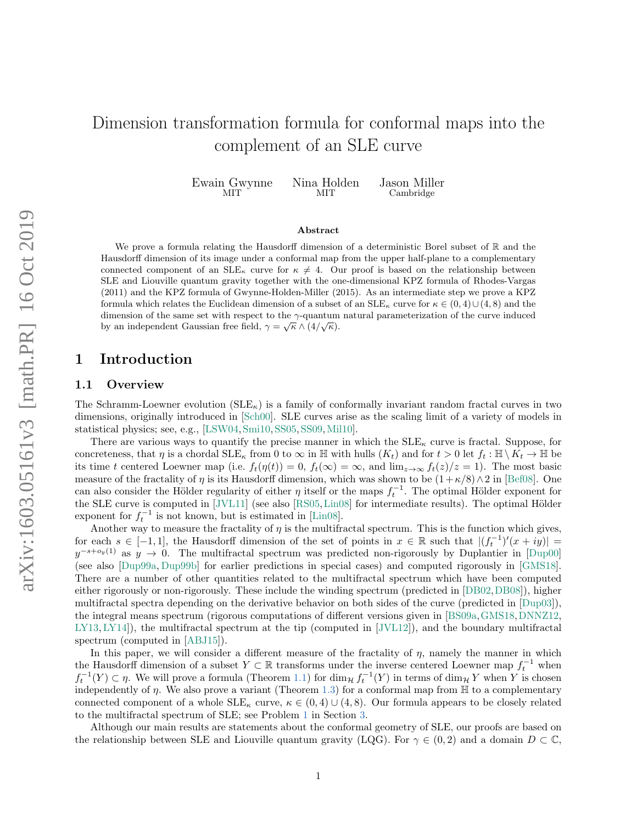# Dimension transformation formula for conformal maps into the complement of an SLE curve

Ewain Gwynne MIT Nina Holden **MIT** Jason Miller Cambridge

#### Abstract

We prove a formula relating the Hausdorff dimension of a deterministic Borel subset of  $\mathbb R$  and the Hausdorff dimension of its image under a conformal map from the upper half-plane to a complementary connected component of an  $\text{SLE}_{\kappa}$  curve for  $\kappa \neq 4$ . Our proof is based on the relationship between SLE and Liouville quantum gravity together with the one-dimensional KPZ formula of Rhodes-Vargas (2011) and the KPZ formula of Gwynne-Holden-Miller (2015). As an intermediate step we prove a KPZ formula which relates the Euclidean dimension of a subset of an  $SLE_{\kappa}$  curve for  $\kappa \in (0,4) \cup (4,8)$  and the dimension of the same set with respect to the γ-quantum natural parameterization of the curve induced by an independent Gaussian free field,  $\gamma = \sqrt{\kappa} \wedge (4/\sqrt{\kappa}).$ 

# 1 Introduction

#### 1.1 Overview

The Schramm-Loewner evolution  $(SLE_{\kappa})$  is a family of conformally invariant random fractal curves in two dimensions, originally introduced in [\[Sch00\]](#page-14-0). SLE curves arise as the scaling limit of a variety of models in statistical physics; see, e.g., [\[LSW04,](#page-13-0)[Smi10,](#page-14-1)[SS05,](#page-14-2)[SS09,](#page-14-3)[Mil10\]](#page-13-1).

There are various ways to quantify the precise manner in which the  $SLE_{\kappa}$  curve is fractal. Suppose, for concreteness, that  $\eta$  is a chordal  $\text{SLE}_\kappa$  from 0 to  $\infty$  in H with hulls  $(K_t)$  and for  $t > 0$  let  $f_t : \mathbb{H} \setminus K_t \to \mathbb{H}$  be its time t centered Loewner map (i.e.  $f_t(\eta(t)) = 0$ ,  $f_t(\infty) = \infty$ , and  $\lim_{z\to\infty} f_t(z)/z = 1$ ). The most basic measure of the fractality of  $\eta$  is its Hausdorff dimension, which was shown to be  $(1+\kappa/8)\wedge 2$  in [\[Bef08\]](#page-12-0). One can also consider the Hölder regularity of either  $\eta$  itself or the maps  $f_t^{-1}$ . The optimal Hölder exponent for the SLE curve is computed in  $|JVL11|$  (see also  $[RS05,Lin08]$  $[RS05,Lin08]$  for intermediate results). The optimal Hölder exponent for  $f_t^{-1}$  is not known, but is estimated in [\[Lin08\]](#page-13-3).

Another way to measure the fractality of  $\eta$  is the multifractal spectrum. This is the function which gives, for each  $s \in [-1,1]$ , the Hausdorff dimension of the set of points in  $x \in \mathbb{R}$  such that  $|(f_t^{-1})'(x+iy)| =$  $y^{-s+o_y(1)}$  as  $y \to 0$ . The multifractal spectrum was predicted non-rigorously by Duplantier in [\[Dup00\]](#page-13-4) (see also [\[Dup99a,](#page-12-1) [Dup99b\]](#page-12-2) for earlier predictions in special cases) and computed rigorously in [\[GMS18\]](#page-13-5). There are a number of other quantities related to the multifractal spectrum which have been computed either rigorously or non-rigorously. These include the winding spectrum (predicted in [\[DB02,](#page-12-3)[DB08\]](#page-12-4)), higher multifractal spectra depending on the derivative behavior on both sides of the curve (predicted in [\[Dup03\]](#page-13-6)), the integral means spectrum (rigorous computations of different versions given in [\[BS09a,](#page-12-5)[GMS18,](#page-13-5)[DNNZ12,](#page-12-6) [LY13,](#page-13-7) [LY14\]](#page-13-8)), the multifractal spectrum at the tip (computed in [\[JVL12\]](#page-13-9)), and the boundary multifractal spectrum (computed in [\[ABJ15\]](#page-12-7)).

In this paper, we will consider a different measure of the fractality of  $\eta$ , namely the manner in which the Hausdorff dimension of a subset  $Y \subset \mathbb{R}$  transforms under the inverse centered Loewner map  $f_t^{-1}$  when  $f_t^{-1}(Y) \subset \eta$ . We will prove a formula (Theorem [1.1\)](#page-2-0) for  $\dim_{\mathcal{H}} f_t^{-1}(Y)$  in terms of  $\dim_{\mathcal{H}} Y$  when Y is chosen independently of  $\eta$ . We also prove a variant (Theorem [1.3\)](#page-2-1) for a conformal map from  $\mathbb H$  to a complementary connected component of a whole  $\text{SLE}_{\kappa}$  curve,  $\kappa \in (0,4) \cup (4,8)$ . Our formula appears to be closely related to the multifractal spectrum of SLE; see Problem [1](#page-11-0) in Section [3.](#page-11-1)

Although our main results are statements about the conformal geometry of SLE, our proofs are based on the relationship between SLE and Liouville quantum gravity (LQG). For  $\gamma \in (0, 2)$  and a domain  $D \subset \mathbb{C}$ ,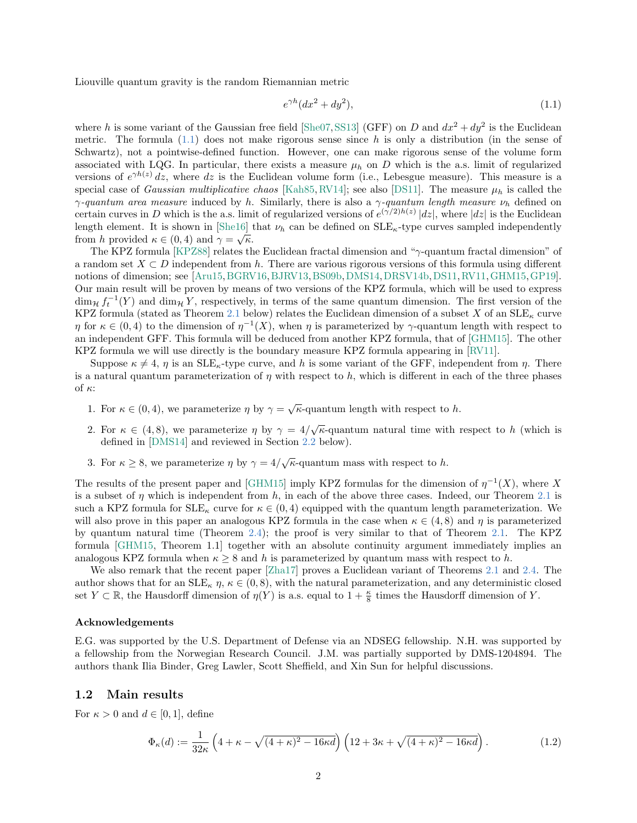Liouville quantum gravity is the random Riemannian metric

<span id="page-1-0"></span>
$$
e^{\gamma h}(dx^2 + dy^2),\tag{1.1}
$$

where h is some variant of the Gaussian free field [\[She07,](#page-14-5) [SS13\]](#page-14-6) (GFF) on D and  $dx^2 + dy^2$  is the Euclidean metric. The formula  $(1.1)$  does not make rigorous sense since h is only a distribution (in the sense of Schwartz), not a pointwise-defined function. However, one can make rigorous sense of the volume form associated with LQG. In particular, there exists a measure  $\mu_h$  on D which is the a.s. limit of regularized versions of  $e^{\gamma h(z)}$  dz, where dz is the Euclidean volume form (i.e., Lebesgue measure). This measure is a special case of *Gaussian multiplicative chaos* [\[Kah85,](#page-13-10) [RV14\]](#page-14-7); see also [\[DS11\]](#page-12-8). The measure  $\mu_h$  is called the  $\gamma$ -quantum area measure induced by h. Similarly, there is also a  $\gamma$ -quantum length measure  $\nu_h$  defined on certain curves in D which is the a.s. limit of regularized versions of  $e^{(\gamma/2)h(z)}$  |dz|, where |dz| is the Euclidean length element. It is shown in [\[She16\]](#page-14-8) that  $\nu_h$  can be defined on  $SLE_{\kappa}$ -type curves sampled independently from h provided  $\kappa \in (0, 4)$  and  $\gamma = \sqrt{\kappa}$ .

The KPZ formula [\[KPZ88\]](#page-13-11) relates the Euclidean fractal dimension and "γ-quantum fractal dimension" of a random set  $X \subset D$  independent from h. There are various rigorous versions of this formula using different notions of dimension; see [\[Aru15,](#page-12-9) [BGRV16,](#page-12-10) [BJRV13,](#page-12-11) [BS09b,](#page-12-12) [DMS14,](#page-12-13) [DRSV14b,](#page-12-14) [DS11,](#page-12-8) [RV11,](#page-14-9) [GHM15,](#page-13-12) [GP19\]](#page-13-13). Our main result will be proven by means of two versions of the KPZ formula, which will be used to express  $\dim_{\mathcal{H}} f_t^{-1}(Y)$  and  $\dim_{\mathcal{H}} Y$ , respectively, in terms of the same quantum dimension. The first version of the KPZ formula (stated as Theorem [2.1](#page-5-0) below) relates the Euclidean dimension of a subset X of an  $SLE_{\kappa}$  curve  $\eta$  for  $\kappa \in (0, 4)$  to the dimension of  $\eta^{-1}(X)$ , when  $\eta$  is parameterized by  $\gamma$ -quantum length with respect to an independent GFF. This formula will be deduced from another KPZ formula, that of [\[GHM15\]](#page-13-12). The other KPZ formula we will use directly is the boundary measure KPZ formula appearing in [\[RV11\]](#page-14-9).

Suppose  $\kappa \neq 4$ ,  $\eta$  is an SLE<sub>K</sub>-type curve, and h is some variant of the GFF, independent from  $\eta$ . There is a natural quantum parameterization of  $\eta$  with respect to h, which is different in each of the three phases of  $\kappa$ :

- 1. For  $\kappa \in (0, 4)$ , we parameterize  $\eta$  by  $\gamma = \sqrt{\kappa}$ -quantum length with respect to h.
- 2. For  $\kappa \in (4,8)$ , we parameterize  $\eta$  by  $\gamma = 4/\sqrt{\kappa}$ -quantum natural time with respect to h (which is defined in [\[DMS14\]](#page-12-13) and reviewed in Section [2.2](#page-7-0) below).
- 3. For  $\kappa \geq 8$ , we parameterize  $\eta$  by  $\gamma = 4/\sqrt{\kappa}$ -quantum mass with respect to h.

The results of the present paper and [\[GHM15\]](#page-13-12) imply KPZ formulas for the dimension of  $\eta^{-1}(X)$ , where X is a subset of  $\eta$  which is independent from h, in each of the above three cases. Indeed, our Theorem [2.1](#page-5-0) is such a KPZ formula for  $SLE_{\kappa}$  curve for  $\kappa \in (0,4)$  equipped with the quantum length parameterization. We will also prove in this paper an analogous KPZ formula in the case when  $\kappa \in (4,8)$  and  $\eta$  is parameterized by quantum natural time (Theorem [2.4\)](#page-8-0); the proof is very similar to that of Theorem [2.1.](#page-5-0) The KPZ formula [\[GHM15,](#page-13-12) Theorem 1.1] together with an absolute continuity argument immediately implies an analogous KPZ formula when  $\kappa \geq 8$  and h is parameterized by quantum mass with respect to h.

We also remark that the recent paper [\[Zha17\]](#page-14-10) proves a Euclidean variant of Theorems [2.1](#page-5-0) and [2.4.](#page-8-0) The author shows that for an  $\text{SLE}_\kappa \eta$ ,  $\kappa \in (0,8)$ , with the natural parameterization, and any deterministic closed set  $Y \subset \mathbb{R}$ , the Hausdorff dimension of  $\eta(Y)$  is a.s. equal to  $1 + \frac{\kappa}{8}$  times the Hausdorff dimension of Y.

#### Acknowledgements

E.G. was supported by the U.S. Department of Defense via an NDSEG fellowship. N.H. was supported by a fellowship from the Norwegian Research Council. J.M. was partially supported by DMS-1204894. The authors thank Ilia Binder, Greg Lawler, Scott Sheffield, and Xin Sun for helpful discussions.

### 1.2 Main results

For  $\kappa > 0$  and  $d \in [0, 1]$ , define

<span id="page-1-1"></span>
$$
\Phi_{\kappa}(d) := \frac{1}{32\kappa} \left( 4 + \kappa - \sqrt{(4+\kappa)^2 - 16\kappa d} \right) \left( 12 + 3\kappa + \sqrt{(4+\kappa)^2 - 16\kappa d} \right). \tag{1.2}
$$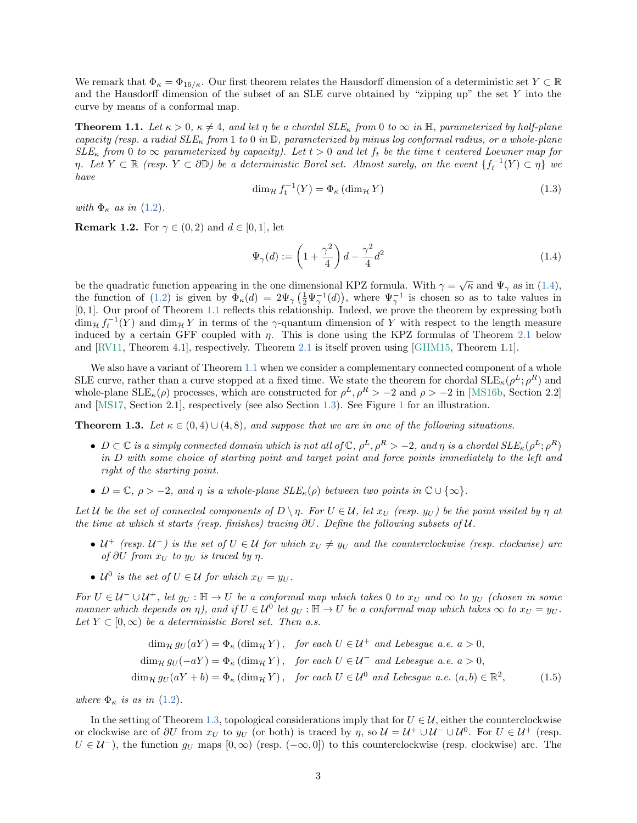We remark that  $\Phi_{\kappa} = \Phi_{16/\kappa}$ . Our first theorem relates the Hausdorff dimension of a deterministic set  $Y \subset \mathbb{R}$ and the Hausdorff dimension of the subset of an SLE curve obtained by "zipping up" the set Y into the curve by means of a conformal map.

<span id="page-2-0"></span>**Theorem 1.1.** Let  $\kappa > 0$ ,  $\kappa \neq 4$ , and let  $\eta$  be a chordal  $SLE_{\kappa}$  from 0 to  $\infty$  in H, parameterized by half-plane capacity (resp. a radial  $SLE_{\kappa}$  from 1 to 0 in  $\mathbb{D}$ , parameterized by minus log conformal radius, or a whole-plane  $SLE_{\kappa}$  from 0 to  $\infty$  parameterized by capacity). Let  $t > 0$  and let  $f_t$  be the time t centered Loewner map for  $\eta$ . Let  $Y \subset \mathbb{R}$  (resp.  $Y \subset \partial \mathbb{D}$ ) be a deterministic Borel set. Almost surely, on the event  $\{f_t^{-1}(Y) \subset \eta\}$  we have

$$
\dim_{\mathcal{H}} f_t^{-1}(Y) = \Phi_{\kappa} (\dim_{\mathcal{H}} Y) \tag{1.3}
$$

with  $\Phi_{\kappa}$  as in [\(1.2\)](#page-1-1).

**Remark 1.2.** For  $\gamma \in (0, 2)$  and  $d \in [0, 1]$ , let

<span id="page-2-2"></span>
$$
\Psi_{\gamma}(d) := \left(1 + \frac{\gamma^2}{4}\right)d - \frac{\gamma^2}{4}d^2\tag{1.4}
$$

be the quadratic function appearing in the one dimensional KPZ formula. With  $\gamma = \sqrt{\kappa}$  and  $\Psi_{\gamma}$  as in [\(1.4\)](#page-2-2), the function of [\(1.2\)](#page-1-1) is given by  $\Phi_{\kappa}(d) = 2\Psi_{\gamma}\left(\frac{1}{2}\Psi_{\gamma}^{-1}(d)\right)$ , where  $\Psi_{\gamma}^{-1}$  is chosen so as to take values in [0, 1]. Our proof of Theorem [1.1](#page-2-0) reflects this relationship. Indeed, we prove the theorem by expressing both  $\dim_{\mathcal{H}} f_t^{-1}(Y)$  and  $\dim_{\mathcal{H}} Y$  in terms of the  $\gamma$ -quantum dimension of Y with respect to the length measure induced by a certain GFF coupled with  $\eta$ . This is done using the KPZ formulas of Theorem [2.1](#page-5-0) below and [\[RV11,](#page-14-9) Theorem 4.1], respectively. Theorem [2.1](#page-5-0) is itself proven using [\[GHM15,](#page-13-12) Theorem 1.1].

We also have a variant of Theorem [1.1](#page-2-0) when we consider a complementary connected component of a whole SLE curve, rather than a curve stopped at a fixed time. We state the theorem for chordal  $\text{SLE}_\kappa(\rho^L; \rho^R)$  and whole-plane  $SLE_{\kappa}(\rho)$  processes, which are constructed for  $\rho^L$ ,  $\rho^R > -2$  and  $\rho > -2$  in [\[MS16b,](#page-13-14) Section 2.2] and [\[MS17,](#page-14-11) Section 2.1], respectively (see also Section [1.3\)](#page-3-0). See Figure [1](#page-3-1) for an illustration.

<span id="page-2-1"></span>**Theorem 1.3.** Let  $\kappa \in (0,4) \cup (4,8)$ , and suppose that we are in one of the following situations.

- $D \subset \mathbb{C}$  is a simply connected domain which is not all of  $\mathbb{C}$ ,  $\rho^L$ ,  $\rho^R > -2$ , and  $\eta$  is a chordal  $SLE_{\kappa}(\rho^L; \rho^R)$ in D with some choice of starting point and target point and force points immediately to the left and right of the starting point.
- $D = \mathbb{C}, \rho > -2, \text{ and } \eta \text{ is a whole-plane } SLE_{\kappa}(\rho)$  between two points in  $\mathbb{C} \cup {\infty}$ .

Let U be the set of connected components of  $D \setminus \eta$ . For  $U \in \mathcal{U}$ , let  $x_U$  (resp.  $y_U$ ) be the point visited by  $\eta$  at the time at which it starts (resp. finishes) tracing ∂U. Define the following subsets of U.

- $U^+$  (resp.  $U^-$ ) is the set of  $U \in \mathcal{U}$  for which  $x_U \neq y_U$  and the counterclockwise (resp. clockwise) arc of  $\partial U$  from  $x_U$  to  $y_U$  is traced by  $\eta$ .
- $\mathcal{U}^0$  is the set of  $U \in \mathcal{U}$  for which  $x_U = y_U$ .

For  $U \in \mathcal{U}^- \cup \mathcal{U}^+$ , let  $g_U : \mathbb{H} \to U$  be a conformal map which takes 0 to  $x_U$  and  $\infty$  to  $y_U$  (chosen in some manner which depends on  $\eta$ ), and if  $U \in \mathcal{U}^0$  let  $g_U : \mathbb{H} \to U$  be a conformal map which takes  $\infty$  to  $x_U = y_U$ . Let  $Y \subset [0,\infty)$  be a deterministic Borel set. Then a.s.

<span id="page-2-3"></span>
$$
\dim_{\mathcal{H}} g_U(aY) = \Phi_{\kappa}(\dim_{\mathcal{H}} Y), \quad \text{for each } U \in \mathcal{U}^+ \text{ and Lebesgue a.e. } a > 0,
$$
\n
$$
\dim_{\mathcal{H}} g_U(-aY) = \Phi_{\kappa}(\dim_{\mathcal{H}} Y), \quad \text{for each } U \in \mathcal{U}^- \text{ and Lebesgue a.e. } a > 0,
$$
\n
$$
\dim_{\mathcal{H}} g_U(aY + b) = \Phi_{\kappa}(\dim_{\mathcal{H}} Y), \quad \text{for each } U \in \mathcal{U}^0 \text{ and Lebesgue a.e. } (a, b) \in \mathbb{R}^2,
$$
\n(1.5)

where  $\Phi_{\kappa}$  is as in [\(1.2\)](#page-1-1).

In the setting of Theorem [1.3,](#page-2-1) topological considerations imply that for  $U \in \mathcal{U}$ , either the counterclockwise or clockwise arc of  $\partial U$  from  $x_U$  to  $y_U$  (or both) is traced by  $\eta$ , so  $\mathcal{U} = \mathcal{U}^+ \cup \mathcal{U}^- \cup \mathcal{U}^0$ . For  $U \in \mathcal{U}^+$  (resp.  $U \in \mathcal{U}^-$ , the function  $g_U$  maps  $[0, \infty)$  (resp.  $(-\infty, 0]$ ) to this counterclockwise (resp. clockwise) arc. The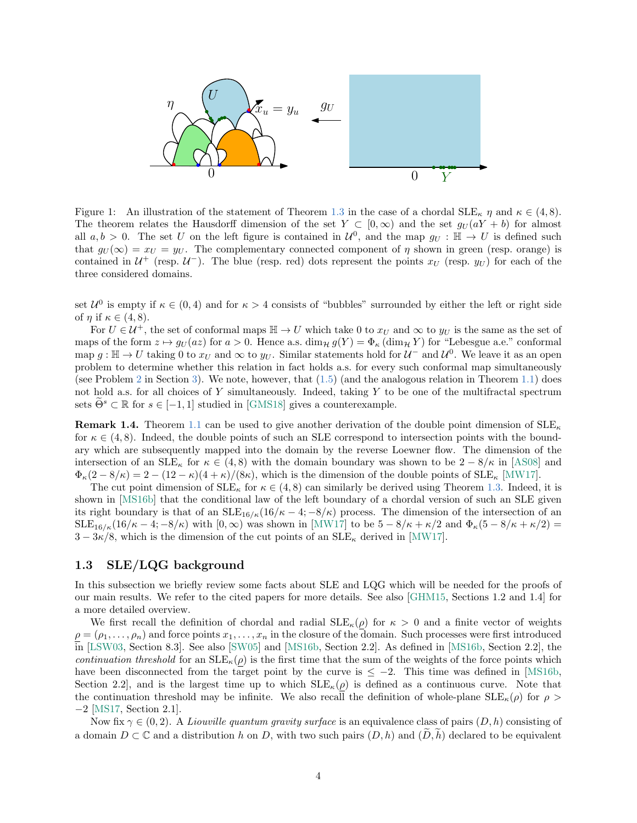

<span id="page-3-1"></span>Figure 1: An illustration of the statement of Theorem [1.3](#page-2-1) in the case of a chordal  $\text{SLE}_{\kappa} \eta$  and  $\kappa \in (4, 8)$ . The theorem relates the Hausdorff dimension of the set  $Y \subset [0,\infty)$  and the set  $g_U(aY + b)$  for almost all  $a, b > 0$ . The set U on the left figure is contained in  $\mathcal{U}^0$ , and the map  $g_U : \mathbb{H} \to U$  is defined such that  $g_U(\infty) = x_U = y_U$ . The complementary connected component of  $\eta$  shown in green (resp. orange) is contained in  $\mathcal{U}^+$  (resp.  $\mathcal{U}^-$ ). The blue (resp. red) dots represent the points  $x_U$  (resp.  $y_U$ ) for each of the three considered domains.

set  $\mathcal{U}^0$  is empty if  $\kappa \in (0,4)$  and for  $\kappa > 4$  consists of "bubbles" surrounded by either the left or right side of  $\eta$  if  $\kappa \in (4, 8)$ .

For  $U \in \mathcal{U}^+$ , the set of conformal maps  $\mathbb{H} \to U$  which take 0 to  $x_U$  and  $\infty$  to  $y_U$  is the same as the set of maps of the form  $z \mapsto g_U(az)$  for  $a > 0$ . Hence a.s.  $\dim_{\mathcal{H}} g(Y) = \Phi_{\kappa}(\dim_{\mathcal{H}} Y)$  for "Lebesgue a.e." conformal map  $g: \mathbb{H} \to U$  taking 0 to  $x_U$  and  $\infty$  to  $y_U$ . Similar statements hold for  $\mathcal{U}^-$  and  $\mathcal{U}^0$ . We leave it as an open problem to determine whether this relation in fact holds a.s. for every such conformal map simultaneously (see Problem [2](#page-11-2) in Section [3\)](#page-11-1). We note, however, that  $(1.5)$  (and the analogous relation in Theorem [1.1\)](#page-2-0) does not hold a.s. for all choices of Y simultaneously. Indeed, taking Y to be one of the multifractal spectrum sets  $\Theta^s \subset \mathbb{R}$  for  $s \in [-1, 1]$  studied in [\[GMS18\]](#page-13-5) gives a counterexample.

**Remark 1.4.** Theorem [1.1](#page-2-0) can be used to give another derivation of the double point dimension of  $SLE_{\kappa}$ for  $\kappa \in (4, 8)$ . Indeed, the double points of such an SLE correspond to intersection points with the boundary which are subsequently mapped into the domain by the reverse Loewner flow. The dimension of the intersection of an  $SLE_{\kappa}$  for  $\kappa \in (4,8)$  with the domain boundary was shown to be  $2 - 8/\kappa$  in [\[AS08\]](#page-12-15) and  $\Phi_{\kappa}(2-8/\kappa) = 2 - (12 - \kappa)(4+\kappa)/(8\kappa)$ , which is the dimension of the double points of  $SLE_{\kappa}$  [\[MW17\]](#page-14-12).

The cut point dimension of  $SLE_{\kappa}$  for  $\kappa \in (4,8)$  can similarly be derived using Theorem [1.3.](#page-2-1) Indeed, it is shown in [\[MS16b\]](#page-13-14) that the conditional law of the left boundary of a chordal version of such an SLE given its right boundary is that of an  $SLE_{16/6}(16/6 - 4; -8/6)$  process. The dimension of the intersection of an  $SLE_{16/\kappa}(16/\kappa-4;-8/\kappa)$  with  $[0,\infty)$  was shown in [\[MW17\]](#page-14-12) to be  $5-8/\kappa+\kappa/2$  and  $\Phi_{\kappa}(5-8/\kappa+\kappa/2)=$  $3-3\kappa/8$ , which is the dimension of the cut points of an SLE<sub> $\kappa$ </sub> derived in [\[MW17\]](#page-14-12).

## <span id="page-3-0"></span>1.3 SLE/LQG background

In this subsection we briefly review some facts about SLE and LQG which will be needed for the proofs of our main results. We refer to the cited papers for more details. See also [\[GHM15,](#page-13-12) Sections 1.2 and 1.4] for a more detailed overview.

We first recall the definition of chordal and radial  $\text{SLE}_\kappa(\rho)$  for  $\kappa > 0$  and a finite vector of weights  $\rho = (\rho_1, \ldots, \rho_n)$  and force points  $x_1, \ldots, x_n$  in the closure of the domain. Such processes were first introduced in [\[LSW03,](#page-13-15) Section 8.3]. See also [\[SW05\]](#page-14-13) and [\[MS16b,](#page-13-14) Section 2.2]. As defined in [\[MS16b,](#page-13-14) Section 2.2], the continuation threshold for an  $\text{SLE}_\kappa(\rho)$  is the first time that the sum of the weights of the force points which have been disconnected from the target point by the curve is  $\leq -2$ . This time was defined in [\[MS16b,](#page-13-14) Section 2.2, and is the largest time up to which  $SLE_{\kappa}(\rho)$  is defined as a continuous curve. Note that the continuation threshold may be infinite. We also recall the definition of whole-plane  $SLE_{\kappa}(\rho)$  for  $\rho >$ −2 [\[MS17,](#page-14-11) Section 2.1].

Now fix  $\gamma \in (0, 2)$ . A Liouville quantum gravity surface is an equivalence class of pairs  $(D, h)$  consisting of a domain  $D \subset \mathbb{C}$  and a distribution h on D, with two such pairs  $(D, h)$  and  $(D, h)$  declared to be equivalent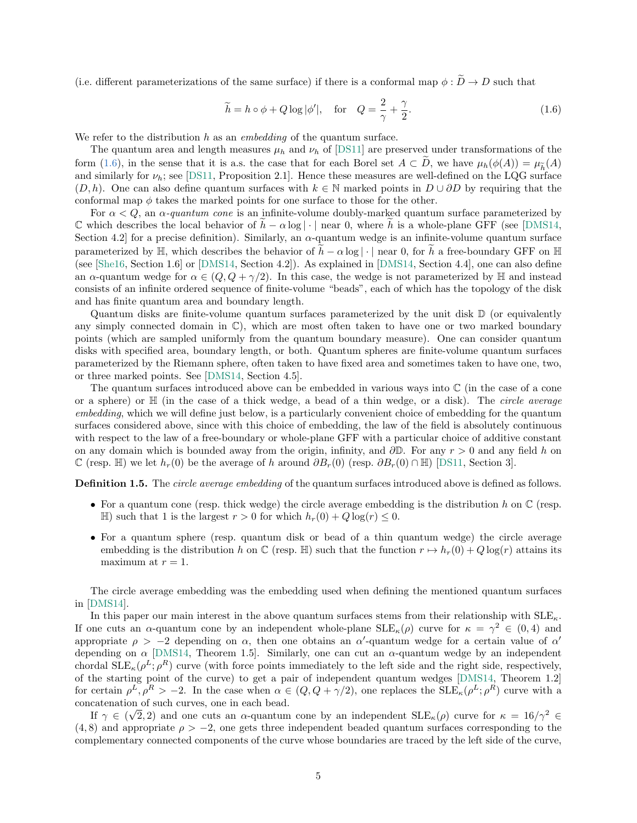(i.e. different parameterizations of the same surface) if there is a conformal map  $\phi : \tilde{D} \to D$  such that

<span id="page-4-0"></span>
$$
\widetilde{h} = h \circ \phi + Q \log |\phi'|, \quad \text{for} \quad Q = \frac{2}{\gamma} + \frac{\gamma}{2}.
$$
\n(1.6)

We refer to the distribution  $h$  as an *embedding* of the quantum surface.

The quantum area and length measures  $\mu_h$  and  $\nu_h$  of [\[DS11\]](#page-12-8) are preserved under transformations of the form [\(1.6\)](#page-4-0), in the sense that it is a.s. the case that for each Borel set  $A \subset D$ , we have  $\mu_h(\phi(A)) = \mu_{\widetilde{h}}(A)$ and similarly for  $\nu_h$ ; see [\[DS11,](#page-12-8) Proposition 2.1]. Hence these measures are well-defined on the LQG surface  $(D, h)$ . One can also define quantum surfaces with  $k \in \mathbb{N}$  marked points in  $D \cup \partial D$  by requiring that the conformal map  $\phi$  takes the marked points for one surface to those for the other.

For  $\alpha < Q$ , an  $\alpha$ -quantum cone is an infinite-volume doubly-marked quantum surface parameterized by C which describes the local behavior of  $h - \alpha \log |\cdot|$  near 0, where h is a whole-plane GFF (see [\[DMS14,](#page-12-13) Section 4.2 for a precise definition). Similarly, an  $\alpha$ -quantum wedge is an infinite-volume quantum surface parameterized by  $\mathbb{H}$ , which describes the behavior of  $\tilde{h} - \alpha \log |\cdot|$  near 0, for  $\tilde{h}$  a free-boundary GFF on  $\mathbb{H}$ (see [\[She16,](#page-14-8) Section 1.6] or [\[DMS14,](#page-12-13) Section 4.2]). As explained in [\[DMS14,](#page-12-13) Section 4.4], one can also define an  $\alpha$ -quantum wedge for  $\alpha \in (Q, Q + \gamma/2)$ . In this case, the wedge is not parameterized by H and instead consists of an infinite ordered sequence of finite-volume "beads", each of which has the topology of the disk and has finite quantum area and boundary length.

Quantum disks are finite-volume quantum surfaces parameterized by the unit disk  $\mathbb D$  (or equivalently any simply connected domain in  $\mathbb{C}$ ), which are most often taken to have one or two marked boundary points (which are sampled uniformly from the quantum boundary measure). One can consider quantum disks with specified area, boundary length, or both. Quantum spheres are finite-volume quantum surfaces parameterized by the Riemann sphere, often taken to have fixed area and sometimes taken to have one, two, or three marked points. See [\[DMS14,](#page-12-13) Section 4.5].

The quantum surfaces introduced above can be embedded in various ways into  $\mathbb C$  (in the case of a cone or a sphere) or H (in the case of a thick wedge, a bead of a thin wedge, or a disk). The circle average embedding, which we will define just below, is a particularly convenient choice of embedding for the quantum surfaces considered above, since with this choice of embedding, the law of the field is absolutely continuous with respect to the law of a free-boundary or whole-plane GFF with a particular choice of additive constant on any domain which is bounded away from the origin, infinity, and  $\partial \mathbb{D}$ . For any  $r > 0$  and any field h on  $\mathbb C$  (resp. H) we let  $h_r(0)$  be the average of h around  $\partial B_r(0)$  (resp.  $\partial B_r(0) \cap \mathbb H$ ) [\[DS11,](#page-12-8) Section 3].

<span id="page-4-1"></span>**Definition 1.5.** The *circle average embedding* of the quantum surfaces introduced above is defined as follows.

- For a quantum cone (resp. thick wedge) the circle average embedding is the distribution h on  $\mathbb C$  (resp. H) such that 1 is the largest  $r > 0$  for which  $h_r(0) + Q \log(r) \leq 0$ .
- For a quantum sphere (resp. quantum disk or bead of a thin quantum wedge) the circle average embedding is the distribution h on  $\mathbb C$  (resp. H) such that the function  $r \mapsto h_r(0) + Q \log(r)$  attains its maximum at  $r = 1$ .

The circle average embedding was the embedding used when defining the mentioned quantum surfaces in [\[DMS14\]](#page-12-13).

In this paper our main interest in the above quantum surfaces stems from their relationship with  $\text{SLE}_\kappa$ . If one cuts an  $\alpha$ -quantum cone by an independent whole-plane  $SLE_{\kappa}(\rho)$  curve for  $\kappa = \gamma^2 \in (0, 4)$  and appropriate  $\rho > -2$  depending on  $\alpha$ , then one obtains an  $\alpha'$ -quantum wedge for a certain value of  $\alpha'$ depending on  $\alpha$  [\[DMS14,](#page-12-13) Theorem 1.5]. Similarly, one can cut an  $\alpha$ -quantum wedge by an independent chordal  $\text{SLE}_{\kappa}(\rho^L; \rho^R)$  curve (with force points immediately to the left side and the right side, respectively, of the starting point of the curve) to get a pair of independent quantum wedges [\[DMS14,](#page-12-13) Theorem 1.2] for certain  $\rho^L$ ,  $\rho^R$  > -2. In the case when  $\alpha \in (Q, Q + \gamma/2)$ , one replaces the  $SLE_{\kappa}(\rho^L; \rho^R)$  curve with a concatenation of such curves, one in each bead. √

If  $\gamma \in (\sqrt{2}, 2)$  and one cuts an  $\alpha$ -quantum cone by an independent  $SLE_{\kappa}(\rho)$  curve for  $\kappa = 16/\gamma^2 \in$  $(4, 8)$  and appropriate  $\rho > -2$ , one gets three independent beaded quantum surfaces corresponding to the complementary connected components of the curve whose boundaries are traced by the left side of the curve,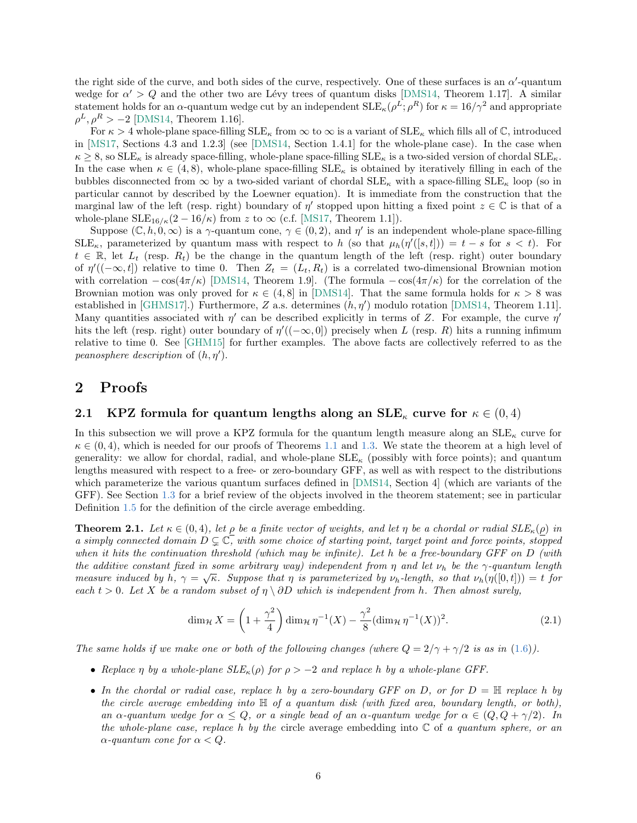the right side of the curve, and both sides of the curve, respectively. One of these surfaces is an  $\alpha'$ -quantum wedge for  $\alpha' > Q$  and the other two are Lévy trees of quantum disks [\[DMS14,](#page-12-13) Theorem 1.17]. A similar statement holds for an  $\alpha$ -quantum wedge cut by an independent  $SLE_{\kappa}(\rho^L; \rho^R)$  for  $\kappa = 16/\gamma^2$  and appropriate  $\rho^L, \rho^R > -2$  [\[DMS14,](#page-12-13) Theorem 1.16].

For  $\kappa > 4$  whole-plane space-filling  $SLE_{\kappa}$  from  $\infty$  to  $\infty$  is a variant of  $SLE_{\kappa}$  which fills all of  $\mathbb{C}$ , introduced in [\[MS17,](#page-14-11) Sections 4.3 and 1.2.3] (see [\[DMS14,](#page-12-13) Section 1.4.1] for the whole-plane case). In the case when  $\kappa \geq 8$ , so SLE<sub> $\kappa$ </sub> is already space-filling, whole-plane space-filling SLE<sub> $\kappa$ </sub> is a two-sided version of chordal SLE<sub> $\kappa$ </sub>. In the case when  $\kappa \in (4, 8)$ , whole-plane space-filling  $SLE_{\kappa}$  is obtained by iteratively filling in each of the bubbles disconnected from  $\infty$  by a two-sided variant of chordal  $SLE_{\kappa}$  with a space-filling  $SLE_{\kappa}$  loop (so in particular cannot by described by the Loewner equation). It is immediate from the construction that the marginal law of the left (resp. right) boundary of  $\eta'$  stopped upon hitting a fixed point  $z \in \mathbb{C}$  is that of a whole-plane  $\text{SLE}_{16/6}(2-16/6)$  from z to  $\infty$  (c.f. [\[MS17,](#page-14-11) Theorem 1.1]).

Suppose  $(\mathbb{C}, h, 0, \infty)$  is a  $\gamma$ -quantum cone,  $\gamma \in (0, 2)$ , and  $\eta'$  is an independent whole-plane space-filling  $SLE_{\kappa}$ , parameterized by quantum mass with respect to h (so that  $\mu_h(\eta'([s,t])) = t - s$  for  $s < t$ ). For  $t \in \mathbb{R}$ , let  $L_t$  (resp.  $R_t$ ) be the change in the quantum length of the left (resp. right) outer boundary of  $\eta'((-\infty, t])$  relative to time 0. Then  $Z_t = (L_t, R_t)$  is a correlated two-dimensional Brownian motion with correlation  $-\cos(4\pi/\kappa)$  [\[DMS14,](#page-12-13) Theorem 1.9]. (The formula  $-\cos(4\pi/\kappa)$  for the correlation of the Brownian motion was only proved for  $\kappa \in (4, 8]$  in [\[DMS14\]](#page-12-13). That the same formula holds for  $\kappa > 8$  was established in [\[GHMS17\]](#page-13-16).) Furthermore, Z a.s. determines  $(h, \eta')$  modulo rotation [\[DMS14,](#page-12-13) Theorem 1.11]. Many quantities associated with  $\eta'$  can be described explicitly in terms of Z. For example, the curve  $\eta'$ hits the left (resp. right) outer boundary of  $\eta'((-\infty,0])$  precisely when L (resp. R) hits a running infimum relative to time 0. See [\[GHM15\]](#page-13-12) for further examples. The above facts are collectively referred to as the peanosphere description of  $(h, \eta')$ .

# 2 Proofs

# 2.1 KPZ formula for quantum lengths along an  $\text{SLE}_{\kappa}$  curve for  $\kappa \in (0,4)$

In this subsection we will prove a KPZ formula for the quantum length measure along an  $SLE_{\kappa}$  curve for  $\kappa \in (0, 4)$ , which is needed for our proofs of Theorems [1.1](#page-2-0) and [1.3.](#page-2-1) We state the theorem at a high level of generality: we allow for chordal, radial, and whole-plane  $SLE_{\kappa}$  (possibly with force points); and quantum lengths measured with respect to a free- or zero-boundary GFF, as well as with respect to the distributions which parameterize the various quantum surfaces defined in [\[DMS14,](#page-12-13) Section 4] (which are variants of the GFF). See Section [1.3](#page-3-0) for a brief review of the objects involved in the theorem statement; see in particular Definition [1.5](#page-4-1) for the definition of the circle average embedding.

<span id="page-5-0"></span>**Theorem 2.1.** Let  $\kappa \in (0, 4)$ , let  $\rho$  be a finite vector of weights, and let  $\eta$  be a chordal or radial  $SLE_{\kappa}(\rho)$  in a simply connected domain  $D \subsetneq \mathbb{C}$ , with some choice of starting point, target point and force points, stopped when it hits the continuation threshold (which may be infinite). Let h be a free-boundary GFF on  $D$  (with the additive constant fixed in some arbitrary way) independent from  $\eta$  and let  $\nu_h$  be the  $\gamma$ -quantum length measure induced by h,  $\gamma = \sqrt{\kappa}$ . Suppose that  $\eta$  is parameterized by  $\nu_h$ -length, so that  $\nu_h(\eta([0,t])) = t$  for each  $t > 0$ . Let X be a random subset of  $\eta \setminus \partial D$  which is independent from h. Then almost surely,

<span id="page-5-1"></span>
$$
\dim_{\mathcal{H}} X = \left(1 + \frac{\gamma^2}{4}\right) \dim_{\mathcal{H}} \eta^{-1}(X) - \frac{\gamma^2}{8} (\dim_{\mathcal{H}} \eta^{-1}(X))^2.
$$
 (2.1)

The same holds if we make one or both of the following changes (where  $Q = 2/\gamma + \gamma/2$  is as in [\(1.6\)](#page-4-0)).

- Replace  $\eta$  by a whole-plane  $SLE_{\kappa}(\rho)$  for  $\rho > -2$  and replace h by a whole-plane GFF.
- In the chordal or radial case, replace h by a zero-boundary GFF on D, or for  $D = \mathbb{H}$  replace h by the circle average embedding into  $\mathbb H$  of a quantum disk (with fixed area, boundary length, or both), an  $\alpha$ -quantum wedge for  $\alpha \leq Q$ , or a single bead of an  $\alpha$ -quantum wedge for  $\alpha \in (Q, Q + \gamma/2)$ . In the whole-plane case, replace h by the circle average embedding into  $\mathbb C$  of a quantum sphere, or an  $\alpha$ -quantum cone for  $\alpha < Q$ .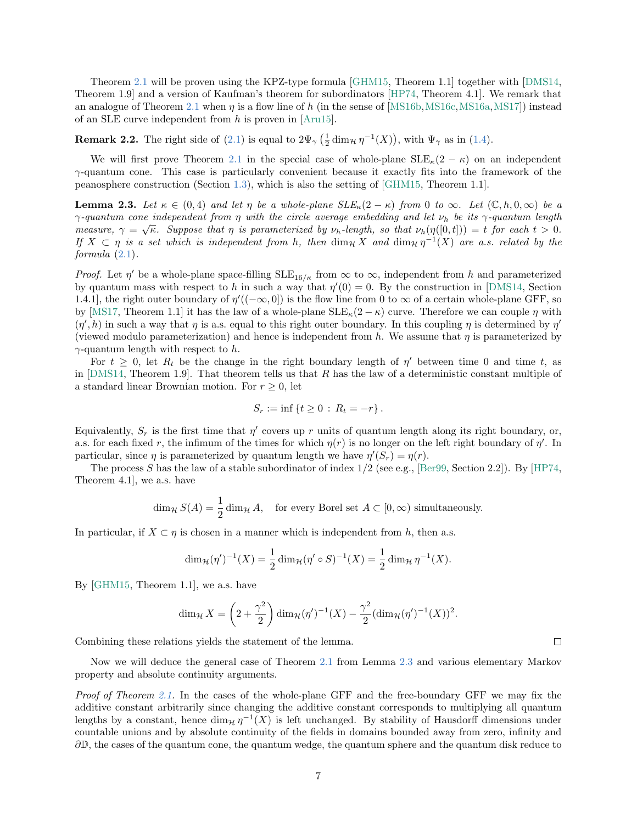Theorem [2.1](#page-5-0) will be proven using the KPZ-type formula [\[GHM15,](#page-13-12) Theorem 1.1] together with [\[DMS14,](#page-12-13) Theorem 1.9] and a version of Kaufman's theorem for subordinators [\[HP74,](#page-13-17) Theorem 4.1]. We remark that an analogue of Theorem [2.1](#page-5-0) when  $\eta$  is a flow line of h (in the sense of [\[MS16b,](#page-13-14) [MS16c,](#page-13-18) [MS16a,](#page-13-19) [MS17\]](#page-14-11)) instead of an SLE curve independent from  $h$  is proven in [\[Aru15\]](#page-12-9).

**Remark 2.2.** The right side of [\(2.1\)](#page-5-1) is equal to  $2\Psi_{\gamma}(\frac{1}{2}\dim_{\mathcal{H}}\eta^{-1}(X))$ , with  $\Psi_{\gamma}$  as in [\(1.4\)](#page-2-2).

We will first prove Theorem [2.1](#page-5-0) in the special case of whole-plane  $SLE_{\kappa}(2 - \kappa)$  on an independent  $\gamma$ -quantum cone. This case is particularly convenient because it exactly fits into the framework of the peanosphere construction (Section [1.3\)](#page-3-0), which is also the setting of [\[GHM15,](#page-13-12) Theorem 1.1].

<span id="page-6-0"></span>**Lemma 2.3.** Let  $\kappa \in (0,4)$  and let  $\eta$  be a whole-plane  $SLE_{\kappa}(2-\kappa)$  from 0 to  $\infty$ . Let  $(\mathbb{C},h,0,\infty)$  be a  $\gamma$ -quantum cone independent from  $\eta$  with the circle average embedding and let  $\nu_h$  be its  $\gamma$ -quantum length measure,  $\gamma = \sqrt{\kappa}$ . Suppose that  $\eta$  is parameterized by  $\nu_h$ -length, so that  $\nu_h(\eta([0,t])) = t$  for each  $t > 0$ . If  $X \subset \eta$  is a set which is independent from h, then  $\dim_{\mathcal{H}} X$  and  $\dim_{\mathcal{H}} \eta^{-1}(X)$  are a.s. related by the formula [\(2.1\)](#page-5-1).

*Proof.* Let  $\eta'$  be a whole-plane space-filling  $SLE_{16/\kappa}$  from  $\infty$  to  $\infty$ , independent from h and parameterized by quantum mass with respect to h in such a way that  $\eta'(0) = 0$ . By the construction in [\[DMS14,](#page-12-13) Section 1.4.1, the right outer boundary of  $\eta'((-\infty,0])$  is the flow line from 0 to  $\infty$  of a certain whole-plane GFF, so by [\[MS17,](#page-14-11) Theorem 1.1] it has the law of a whole-plane  $SLE_{\kappa}(2-\kappa)$  curve. Therefore we can couple  $\eta$  with  $(\eta', h)$  in such a way that  $\eta$  is a.s. equal to this right outer boundary. In this coupling  $\eta$  is determined by  $\eta'$ (viewed modulo parameterization) and hence is independent from h. We assume that  $\eta$  is parameterized by  $\gamma$ -quantum length with respect to h.

For  $t \geq 0$ , let  $R_t$  be the change in the right boundary length of  $\eta'$  between time 0 and time t, as in  $[{\rm DMS14}, {\rm Theorem 1.9}]$ . That theorem tells us that R has the law of a deterministic constant multiple of a standard linear Brownian motion. For  $r \geq 0$ , let

$$
S_r := \inf \{ t \ge 0 : R_t = -r \}.
$$

Equivalently,  $S_r$  is the first time that  $\eta'$  covers up r units of quantum length along its right boundary, or, a.s. for each fixed r, the infimum of the times for which  $\eta(r)$  is no longer on the left right boundary of  $\eta'$ . In particular, since  $\eta$  is parameterized by quantum length we have  $\eta'(S_r) = \eta(r)$ .

The process S has the law of a stable subordinator of index  $1/2$  (see e.g., [\[Ber99,](#page-12-16) Section 2.2]). By [\[HP74,](#page-13-17) Theorem 4.1], we a.s. have

$$
\dim_{\mathcal{H}} S(A) = \frac{1}{2} \dim_{\mathcal{H}} A, \text{ for every Borel set } A \subset [0, \infty) \text{ simultaneously.}
$$

In particular, if  $X \subset \eta$  is chosen in a manner which is independent from h, then a.s.

$$
\dim_{\mathcal{H}}(\eta')^{-1}(X) = \frac{1}{2} \dim_{\mathcal{H}}(\eta' \circ S)^{-1}(X) = \frac{1}{2} \dim_{\mathcal{H}} \eta^{-1}(X).
$$

By [\[GHM15,](#page-13-12) Theorem 1.1], we a.s. have

$$
\dim_{\mathcal{H}} X = \left(2 + \frac{\gamma^2}{2}\right) \dim_{\mathcal{H}} (\eta')^{-1}(X) - \frac{\gamma^2}{2} (\dim_{\mathcal{H}} (\eta')^{-1}(X))^2.
$$

Combining these relations yields the statement of the lemma.

Now we will deduce the general case of Theorem [2.1](#page-5-0) from Lemma [2.3](#page-6-0) and various elementary Markov property and absolute continuity arguments.

Proof of Theorem [2.1.](#page-5-0) In the cases of the whole-plane GFF and the free-boundary GFF we may fix the additive constant arbitrarily since changing the additive constant corresponds to multiplying all quantum lengths by a constant, hence  $\dim_{\mathcal{H}} \eta^{-1}(X)$  is left unchanged. By stability of Hausdorff dimensions under countable unions and by absolute continuity of the fields in domains bounded away from zero, infinity and ∂D, the cases of the quantum cone, the quantum wedge, the quantum sphere and the quantum disk reduce to

 $\Box$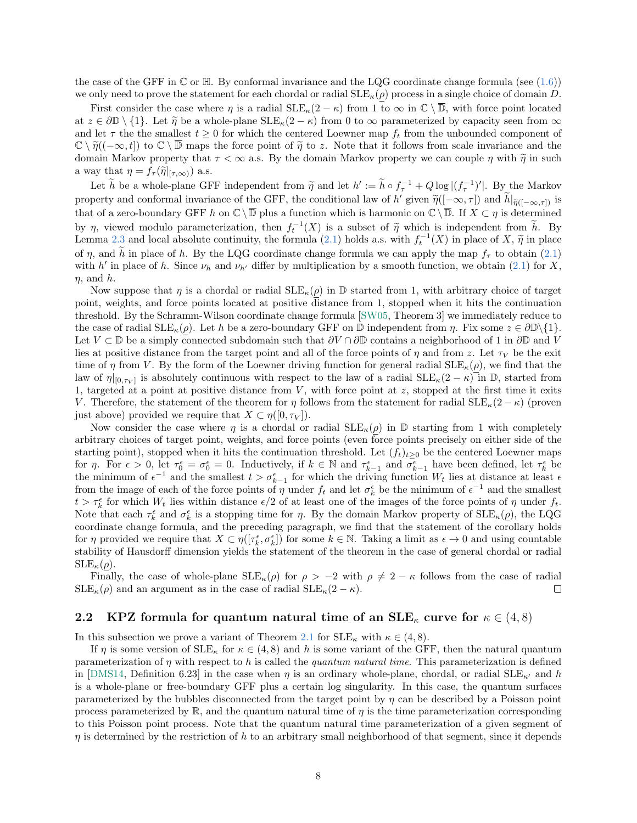the case of the GFF in  $\mathbb C$  or  $\mathbb H$ . By conformal invariance and the LQG coordinate change formula (see [\(1.6\)](#page-4-0)) we only need to prove the statement for each chordal or radial  $SLE_{\kappa}(\rho)$  process in a single choice of domain D.

First consider the case where  $\eta$  is a radial  $\text{SLE}_\kappa(2-\kappa)$  from 1 to  $\infty$  in  $\mathbb{C}\setminus\overline{\mathbb{D}}$ , with force point located at  $z \in \partial \mathbb{D} \setminus \{1\}$ . Let  $\tilde{\eta}$  be a whole-plane  $SLE_{\kappa}(2 - \kappa)$  from 0 to  $\infty$  parameterized by capacity seen from  $\infty$ and let  $\tau$  the smallest  $t \geq 0$  for which the centered Loewner map  $f_t$  from the unbounded component of  $\mathbb{C} \setminus \tilde{\eta}((-\infty, t])$  to  $\mathbb{C} \setminus \overline{\mathbb{D}}$  maps the force point of  $\tilde{\eta}$  to z. Note that it follows from scale invariance and the domain Markov property that  $\tau < \infty$  a.s. By the domain Markov property we can couple  $\eta$  with  $\tilde{\eta}$  in such a way that  $\eta = f_{\tau}(\tilde{\eta}|_{[\tau,\infty)})$  a.s.

Let  $\tilde{h}$  be a whole-plane GFF independent from  $\tilde{\eta}$  and let  $h' := \tilde{h} \circ f_{\tau}^{-1} + Q \log |(f_{\tau}^{-1})'|$ . By the Markov property and conformal invariance of the GFF, the conditional law of h' given  $\tilde{\eta}([-\infty,\tau])$  and  $\tilde{h}|_{\tilde{\eta}([-\infty,\tau])}$  is that of a zero-boundary GFF h on  $\mathbb{C} \setminus \overline{\mathbb{D}}$  plus a function which is harmonic on  $\mathbb{C} \setminus \overline{\mathbb{D}}$ . If  $X \subset \eta$  is determined by  $\eta$ , viewed modulo parameterization, then  $f_t^{-1}(X)$  is a subset of  $\tilde{\eta}$  which is independent from  $\tilde{h}$ . By Lemma [2.3](#page-6-0) and local absolute continuity, the formula [\(2.1\)](#page-5-1) holds a.s. with  $f_t^{-1}(X)$  in place of X,  $\tilde{\eta}$  in place  $f$ ,  $\tilde{\eta}$  is a place of  $\tilde{\eta}$ . of η, and  $\tilde{h}$  in place of h. By the LQG coordinate change formula we can apply the map  $f_{\tau}$  to obtain [\(2.1\)](#page-5-1) with h' in place of h. Since  $\nu_h$  and  $\nu_{h'}$  differ by multiplication by a smooth function, we obtain [\(2.1\)](#page-5-1) for X,  $n$ , and  $h$ .

Now suppose that  $\eta$  is a chordal or radial  $SLE_{\kappa}(\rho)$  in  $\mathbb D$  started from 1, with arbitrary choice of target point, weights, and force points located at positive distance from 1, stopped when it hits the continuation threshold. By the Schramm-Wilson coordinate change formula [\[SW05,](#page-14-13) Theorem 3] we immediately reduce to the case of radial  $\text{SLE}_\kappa(\rho)$ . Let h be a zero-boundary GFF on D independent from  $\eta$ . Fix some  $z \in \partial \mathbb{D}\setminus\{1\}$ . Let  $V \subset \mathbb{D}$  be a simply connected subdomain such that  $\partial V \cap \partial \mathbb{D}$  contains a neighborhood of 1 in  $\partial \mathbb{D}$  and V lies at positive distance from the target point and all of the force points of  $\eta$  and from z. Let  $\tau_V$  be the exit time of  $\eta$  from V. By the form of the Loewner driving function for general radial  $SLE_{\kappa}(\rho)$ , we find that the law of  $\eta|_{[0,\tau_V]}$  is absolutely continuous with respect to the law of a radial  $SLE_{\kappa}(2-\kappa)$  in  $\mathbb{D}$ , started from 1, targeted at a point at positive distance from  $V$ , with force point at  $z$ , stopped at the first time it exits V. Therefore, the statement of the theorem for  $\eta$  follows from the statement for radial  $\text{SLE}_{\kappa}(2-\kappa)$  (proven just above) provided we require that  $X \subset \eta([0, \tau_V])$ .

Now consider the case where  $\eta$  is a chordal or radial  $SLE_{\kappa}(\rho)$  in  $\mathbb D$  starting from 1 with completely arbitrary choices of target point, weights, and force points (even force points precisely on either side of the starting point), stopped when it hits the continuation threshold. Let  $(f_t)_{t\geq 0}$  be the centered Loewner maps for  $\eta$ . For  $\epsilon > 0$ , let  $\tau_0^{\epsilon} = \sigma_0^{\epsilon} = 0$ . Inductively, if  $k \in \mathbb{N}$  and  $\tau_{k-1}^{\epsilon}$  and  $\sigma_{k-1}^{\epsilon}$  have been defined, let  $\tau_k^{\epsilon}$  be the minimum of  $\epsilon^{-1}$  and the smallest  $t > \sigma_{k-1}^{\epsilon}$  for which the driving function  $W_t$  lies at distance at least  $\epsilon$ from the image of each of the force points of  $\eta$  under  $f_t$  and let  $\sigma_k^{\epsilon}$  be the minimum of  $\epsilon^{-1}$  and the smallest  $t > \tau_k^{\epsilon}$  for which  $W_t$  lies within distance  $\epsilon/2$  of at least one of the images of the force points of  $\eta$  under  $f_t$ . Note that each  $\tau_k^{\epsilon}$  and  $\sigma_k^{\epsilon}$  is a stopping time for  $\eta$ . By the domain Markov property of  $\text{SLE}_{\kappa}(\underline{\rho})$ , the LQG coordinate change formula, and the preceding paragraph, we find that the statement of the corollary holds for  $\eta$  provided we require that  $X \subset \eta([\tau_k^{\epsilon}, \sigma_k^{\epsilon}])$  for some  $k \in \mathbb{N}$ . Taking a limit as  $\epsilon \to 0$  and using countable stability of Hausdorff dimension yields the statement of the theorem in the case of general chordal or radial  $SLE_{\kappa}(\rho)$ .

Finally, the case of whole-plane  $SLE_{\kappa}(\rho)$  for  $\rho > -2$  with  $\rho \neq 2 - \kappa$  follows from the case of radial  $SLE_{\kappa}(\rho)$  and an argument as in the case of radial  $SLE_{\kappa}(2 - \kappa)$ .  $\Box$ 

## <span id="page-7-0"></span>2.2 KPZ formula for quantum natural time of an  $\text{SLE}_{\kappa}$  curve for  $\kappa \in (4,8)$

In this subsection we prove a variant of Theorem [2.1](#page-5-0) for  $SLE_{\kappa}$  with  $\kappa \in (4, 8)$ .

If  $\eta$  is some version of  $SLE_{\kappa}$  for  $\kappa \in (4,8)$  and h is some variant of the GFF, then the natural quantum parameterization of  $\eta$  with respect to h is called the quantum natural time. This parameterization is defined in [\[DMS14,](#page-12-13) Definition 6.23] in the case when  $\eta$  is an ordinary whole-plane, chordal, or radial  $SLE_{\kappa'}$  and h is a whole-plane or free-boundary GFF plus a certain log singularity. In this case, the quantum surfaces parameterized by the bubbles disconnected from the target point by  $\eta$  can be described by a Poisson point process parameterized by  $\mathbb{R}$ , and the quantum natural time of  $\eta$  is the time parameterization corresponding to this Poisson point process. Note that the quantum natural time parameterization of a given segment of  $\eta$  is determined by the restriction of h to an arbitrary small neighborhood of that segment, since it depends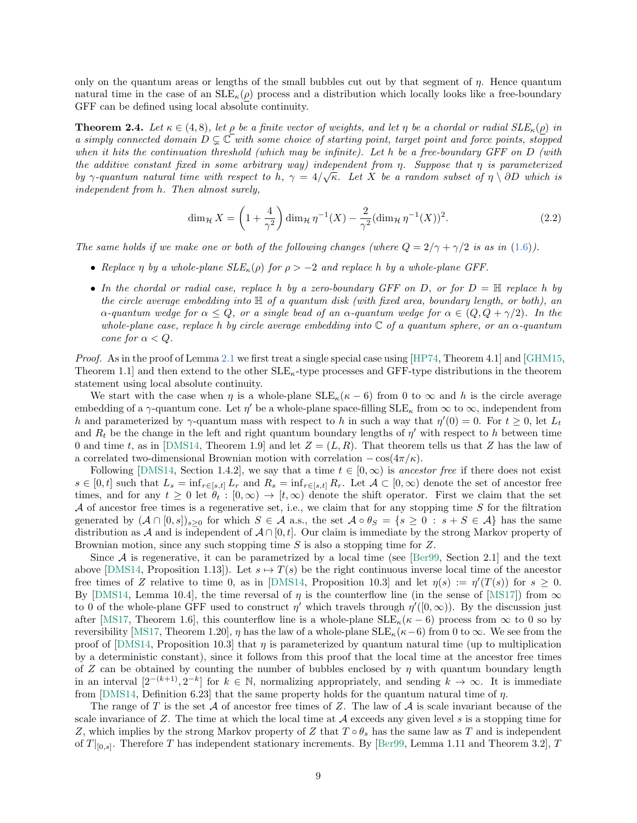only on the quantum areas or lengths of the small bubbles cut out by that segment of  $\eta$ . Hence quantum natural time in the case of an  $SLE_{\kappa}(\rho)$  process and a distribution which locally looks like a free-boundary GFF can be defined using local absolute continuity.

<span id="page-8-0"></span>**Theorem 2.4.** Let  $\kappa \in (4, 8)$ , let  $\rho$  be a finite vector of weights, and let  $\eta$  be a chordal or radial  $SLE_{\kappa}(\rho)$  in a simply connected domain  $D \subsetneq \mathbb{C}$  with some choice of starting point, target point and force points, stopped when it hits the continuation threshold (which may be infinite). Let h be a free-boundary GFF on D (with the additive constant fixed in some arbitrary way) independent from  $\eta$ . Suppose that  $\eta$  is parameterized by  $\gamma$ -quantum natural time with respect to h,  $\gamma = 4/\sqrt{\kappa}$ . Let X be a random subset of  $\eta \setminus \partial D$  which is independent from h. Then almost surely,

$$
\dim_{\mathcal{H}} X = \left(1 + \frac{4}{\gamma^2}\right) \dim_{\mathcal{H}} \eta^{-1}(X) - \frac{2}{\gamma^2} (\dim_{\mathcal{H}} \eta^{-1}(X))^2.
$$
 (2.2)

The same holds if we make one or both of the following changes (where  $Q = 2/\gamma + \gamma/2$  is as in [\(1.6\)](#page-4-0)).

- Replace  $\eta$  by a whole-plane  $SLE_{\kappa}(\rho)$  for  $\rho > -2$  and replace h by a whole-plane GFF.
- In the chordal or radial case, replace h by a zero-boundary GFF on D, or for  $D = \mathbb{H}$  replace h by the circle average embedding into  $\mathbb H$  of a quantum disk (with fixed area, boundary length, or both), an  $\alpha$ -quantum wedge for  $\alpha \leq Q$ , or a single bead of an  $\alpha$ -quantum wedge for  $\alpha \in (Q, Q + \gamma/2)$ . In the whole-plane case, replace h by circle average embedding into  $\mathbb C$  of a quantum sphere, or an  $\alpha$ -quantum cone for  $\alpha < Q$ .

Proof. As in the proof of Lemma [2.1](#page-5-0) we first treat a single special case using [\[HP74,](#page-13-17) Theorem 4.1] and [\[GHM15,](#page-13-12) Theorem 1.1] and then extend to the other  $SLE_{\kappa}$ -type processes and GFF-type distributions in the theorem statement using local absolute continuity.

We start with the case when  $\eta$  is a whole-plane  $SLE_{\kappa}(\kappa - 6)$  from 0 to  $\infty$  and h is the circle average embedding of a  $\gamma$ -quantum cone. Let  $\eta'$  be a whole-plane space-filling  $SLE_{\kappa}$  from  $\infty$  to  $\infty$ , independent from h and parameterized by  $\gamma$ -quantum mass with respect to h in such a way that  $\eta'(0) = 0$ . For  $t \geq 0$ , let  $L_t$ and  $R_t$  be the change in the left and right quantum boundary lengths of  $\eta'$  with respect to h between time 0 and time t, as in [\[DMS14,](#page-12-13) Theorem 1.9] and let  $Z = (L, R)$ . That theorem tells us that Z has the law of a correlated two-dimensional Brownian motion with correlation  $-\cos(4\pi/\kappa)$ .

Following [\[DMS14,](#page-12-13) Section 1.4.2], we say that a time  $t \in [0,\infty)$  is ancestor free if there does not exist  $s \in [0, t]$  such that  $L_s = \inf_{r \in [s,t]} L_r$  and  $R_s = \inf_{r \in [s,t]} R_r$ . Let  $\mathcal{A} \subset [0, \infty)$  denote the set of ancestor free times, and for any  $t \geq 0$  let  $\theta_t : [0, \infty) \to [t, \infty)$  denote the shift operator. First we claim that the set  $A$  of ancestor free times is a regenerative set, i.e., we claim that for any stopping time  $S$  for the filtration generated by  $(A \cap [0,s])_{s>0}$  for which  $S \in \mathcal{A}$  a.s., the set  $A \circ \theta_S = \{s \geq 0 : s + S \in \mathcal{A}\}\)$  has the same distribution as A and is independent of  $A \cap [0, t]$ . Our claim is immediate by the strong Markov property of Brownian motion, since any such stopping time S is also a stopping time for Z.

Since  $A$  is regenerative, it can be parametrized by a local time (see [\[Ber99,](#page-12-16) Section 2.1] and the text above [\[DMS14,](#page-12-13) Proposition 1.13]). Let  $s \mapsto T(s)$  be the right continuous inverse local time of the ancestor free times of Z relative to time 0, as in [\[DMS14,](#page-12-13) Proposition 10.3] and let  $\eta(s) := \eta'(T(s))$  for  $s \geq 0$ . By [\[DMS14,](#page-12-13) Lemma 10.4], the time reversal of  $\eta$  is the counterflow line (in the sense of [\[MS17\]](#page-14-11)) from  $\infty$ to 0 of the whole-plane GFF used to construct  $\eta'$  which travels through  $\eta'([0,\infty))$ . By the discussion just after [\[MS17,](#page-14-11) Theorem 1.6], this counterflow line is a whole-plane  $SLE_{\kappa}(\kappa - 6)$  process from  $\infty$  to 0 so by reversibility [\[MS17,](#page-14-11) Theorem 1.20],  $\eta$  has the law of a whole-plane SLE<sub> $k(\kappa-6)$ </sub> from 0 to  $\infty$ . We see from the proof of [\[DMS14,](#page-12-13) Proposition 10.3] that  $\eta$  is parameterized by quantum natural time (up to multiplication by a deterministic constant), since it follows from this proof that the local time at the ancestor free times of Z can be obtained by counting the number of bubbles enclosed by  $\eta$  with quantum boundary length in an interval  $[2^{-(k+1)}, 2^{-k}]$  for  $k \in \mathbb{N}$ , normalizing appropriately, and sending  $k \to \infty$ . It is immediate from [\[DMS14,](#page-12-13) Definition 6.23] that the same property holds for the quantum natural time of  $\eta$ .

The range of T is the set A of ancestor free times of Z. The law of A is scale invariant because of the scale invariance of  $Z$ . The time at which the local time at  $A$  exceeds any given level  $s$  is a stopping time for Z, which implies by the strong Markov property of Z that  $T \circ \theta_s$  has the same law as T and is independent of  $T|_{[0,s]}$ . Therefore T has independent stationary increments. By [\[Ber99,](#page-12-16) Lemma 1.11 and Theorem 3.2], T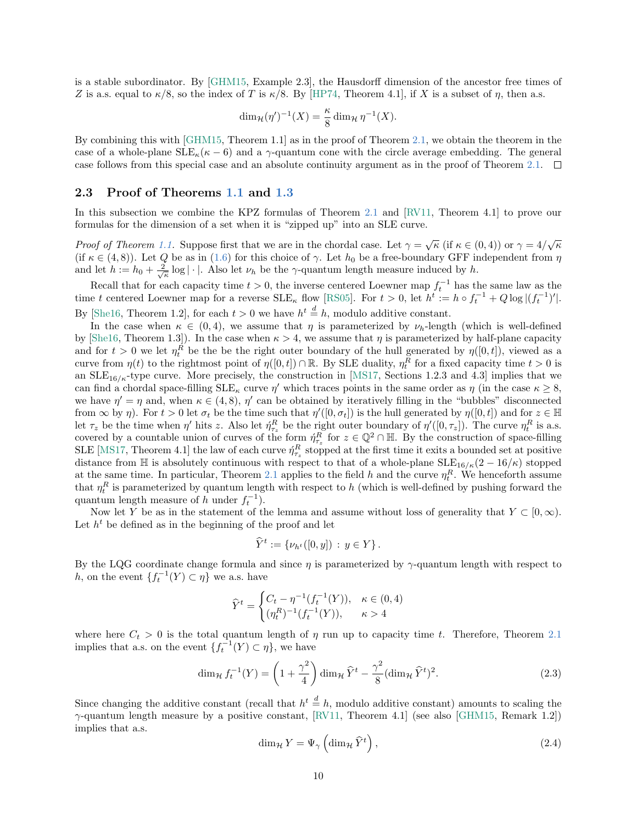is a stable subordinator. By [\[GHM15,](#page-13-12) Example 2.3], the Hausdorff dimension of the ancestor free times of Z is a.s. equal to  $\kappa/8$ , so the index of T is  $\kappa/8$ . By [\[HP74,](#page-13-17) Theorem 4.1], if X is a subset of  $\eta$ , then a.s.

$$
\dim_{\mathcal{H}}(\eta')^{-1}(X) = \frac{\kappa}{8} \dim_{\mathcal{H}} \eta^{-1}(X).
$$

By combining this with [\[GHM15,](#page-13-12) Theorem 1.1] as in the proof of Theorem [2.1,](#page-5-0) we obtain the theorem in the case of a whole-plane  $\text{SLE}_\kappa(\kappa - 6)$  and a γ-quantum cone with the circle average embedding. The general case follows from this special case and an absolute continuity argument as in the proof of Theorem [2.1.](#page-5-0)  $\Box$ 

### 2.3 Proof of Theorems [1.1](#page-2-0) and [1.3](#page-2-1)

In this subsection we combine the KPZ formulas of Theorem [2.1](#page-5-0) and [\[RV11,](#page-14-9) Theorem 4.1] to prove our formulas for the dimension of a set when it is "zipped up" into an SLE curve.

*Proof of Theorem [1.1.](#page-2-0)* Suppose first that we are in the chordal case. Let  $\gamma = \sqrt{\kappa}$  (if  $\kappa \in (0, 4)$ ) or  $\gamma = 4/\sqrt{\kappa}$ (if  $\kappa \in (4, 8)$ ). Let Q be as in [\(1.6\)](#page-4-0) for this choice of  $\gamma$ . Let  $h_0$  be a free-boundary GFF independent from  $\eta$ and let  $h := h_0 + \frac{2}{\sqrt{\kappa}} \log |\cdot|$ . Also let  $\nu_h$  be the  $\gamma$ -quantum length measure induced by h.

Recall that for each capacity time  $t > 0$ , the inverse centered Loewner map  $f_t^{-1}$  has the same law as the time t centered Loewner map for a reverse  $SLE_{\kappa}$  flow [\[RS05\]](#page-14-4). For  $t > 0$ , let  $h^t := h \circ f_t^{-1} + Q \log |(f_t^{-1})'|$ . By [\[She16,](#page-14-8) Theorem 1.2], for each  $t > 0$  we have  $h^t \stackrel{d}{=} h$ , modulo additive constant.

In the case when  $\kappa \in (0, 4)$ , we assume that  $\eta$  is parameterized by  $\nu_h$ -length (which is well-defined by [\[She16,](#page-14-8) Theorem 1.3]). In the case when  $\kappa > 4$ , we assume that  $\eta$  is parameterized by half-plane capacity and for  $t > 0$  we let  $\eta_t^R$  be the be the right outer boundary of the hull generated by  $\eta([0, t])$ , viewed as a curve from  $\eta(t)$  to the rightmost point of  $\eta([0,t]) \cap \mathbb{R}$ . By SLE duality,  $\eta_t^R$  for a fixed capacity time  $t > 0$  is an  $SLE_{16/\kappa}$ -type curve. More precisely, the construction in [\[MS17,](#page-14-11) Sections 1.2.3 and 4.3] implies that we can find a chordal space-filling  $\text{SLE}_{\kappa}$  curve  $\eta'$  which traces points in the same order as  $\eta$  (in the case  $\kappa \geq 8$ , we have  $\eta' = \eta$  and, when  $\kappa \in (4, 8)$ ,  $\eta'$  can be obtained by iteratively filling in the "bubbles" disconnected from  $\infty$  by  $\eta$ ). For  $t > 0$  let  $\sigma_t$  be the time such that  $\eta'([0, \sigma_t])$  is the hull generated by  $\eta([0, t])$  and for  $z \in \mathbb{H}$ let  $\tau_z$  be the time when  $\eta'$  hits z. Also let  $\eta_{\tau_z}^R$  be the right outer boundary of  $\eta'([0, \tau_z])$ . The curve  $\eta_t^R$  is a.s. covered by a countable union of curves of the form  $\eta_{\tau_z}^R$  for  $z \in \mathbb{Q}^2 \cap \mathbb{H}$ . By the construction of space-filling SLE [\[MS17,](#page-14-11) Theorem 4.1] the law of each curve  $\hat{\eta}_{\tau_z}^R$  stopped at the first time it exits a bounded set at positive distance from H is absolutely continuous with respect to that of a whole-plane  $\text{SLE}_{16/\kappa}(2-16/\kappa)$  stopped at the same time. In particular, Theorem [2.1](#page-5-0) applies to the field h and the curve  $\eta_t^R$ . We henceforth assume that  $\eta_t^R$  is parameterized by quantum length with respect to h (which is well-defined by pushing forward the quantum length measure of h under  $f_t^{-1}$ ).

Now let Y be as in the statement of the lemma and assume without loss of generality that  $Y \subset [0,\infty)$ . Let  $h^t$  be defined as in the beginning of the proof and let

$$
\widehat{Y}^t := \{ \nu_{h^t}([0, y]) : y \in Y \}.
$$

By the LQG coordinate change formula and since  $\eta$  is parameterized by  $\gamma$ -quantum length with respect to h, on the event  $\{f_t^{-1}(Y) \subset \eta\}$  we a.s. have

<span id="page-9-0"></span>
$$
\widehat{Y}^t = \begin{cases} C_t - \eta^{-1}(f_t^{-1}(Y)), & \kappa \in (0, 4) \\ (\eta_t^R)^{-1}(f_t^{-1}(Y)), & \kappa > 4 \end{cases}
$$

where here  $C_t > 0$  is the total quantum length of  $\eta$  run up to capacity time t. Therefore, Theorem [2.1](#page-5-0) implies that a.s. on the event  $\{f_t^{-1}(Y) \subset \eta\}$ , we have

<span id="page-9-1"></span>
$$
\dim_{\mathcal{H}} f_t^{-1}(Y) = \left(1 + \frac{\gamma^2}{4}\right) \dim_{\mathcal{H}} \widehat{Y}^t - \frac{\gamma^2}{8} (\dim_{\mathcal{H}} \widehat{Y}^t)^2.
$$
\n(2.3)

Since changing the additive constant (recall that  $h^t \stackrel{d}{=} h$ , modulo additive constant) amounts to scaling the  $\gamma$ -quantum length measure by a positive constant, [\[RV11,](#page-14-9) Theorem 4.1] (see also [\[GHM15,](#page-13-12) Remark 1.2]) implies that a.s.

$$
\dim_{\mathcal{H}} Y = \Psi_{\gamma} \left( \dim_{\mathcal{H}} \hat{Y}^{t} \right),\tag{2.4}
$$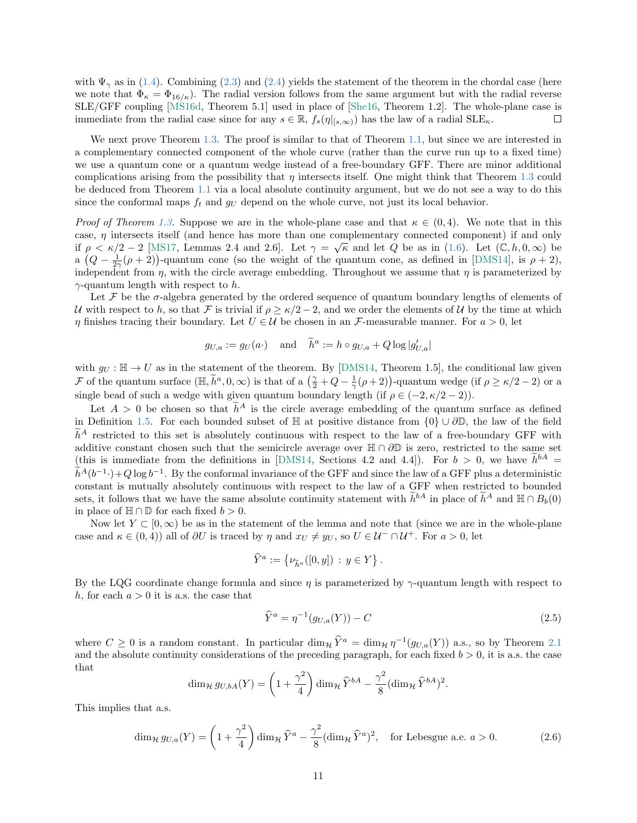with  $\Psi_{\gamma}$  as in [\(1.4\)](#page-2-2). Combining [\(2.3\)](#page-9-0) and [\(2.4\)](#page-9-1) yields the statement of the theorem in the chordal case (here we note that  $\Phi_{\kappa} = \Phi_{16/\kappa}$ . The radial version follows from the same argument but with the radial reverse SLE/GFF coupling [\[MS16d,](#page-14-14) Theorem 5.1] used in place of [\[She16,](#page-14-8) Theorem 1.2]. The whole-plane case is immediate from the radial case since for any  $s \in \mathbb{R}$ ,  $f_s(\eta|_{[s,\infty)})$  has the law of a radial  $\text{SLE}_{\kappa}$ .  $\Box$ 

We next prove Theorem [1.3.](#page-2-1) The proof is similar to that of Theorem [1.1,](#page-2-0) but since we are interested in a complementary connected component of the whole curve (rather than the curve run up to a fixed time) we use a quantum cone or a quantum wedge instead of a free-boundary GFF. There are minor additional complications arising from the possibility that  $\eta$  intersects itself. One might think that Theorem [1.3](#page-2-1) could be deduced from Theorem [1.1](#page-2-0) via a local absolute continuity argument, but we do not see a way to do this since the conformal maps  $f_t$  and  $g_U$  depend on the whole curve, not just its local behavior.

*Proof of Theorem [1.3.](#page-2-1)* Suppose we are in the whole-plane case and that  $\kappa \in (0, 4)$ . We note that in this case,  $\eta$  intersects itself (and hence has more than one complementary connected component) if and only if  $\rho < \kappa/2 - 2$  [\[MS17,](#page-14-11) Lemmas 2.4 and 2.6]. Let  $\gamma = \sqrt{\kappa}$  and let Q be as in [\(1.6\)](#page-4-0). Let  $(\mathbb{C}, h, 0, \infty)$  be a  $(Q - \frac{1}{2\gamma}(\rho + 2))$ -quantum cone (so the weight of the quantum cone, as defined in [\[DMS14\]](#page-12-13), is  $\rho + 2$ ), independent from  $\eta$ , with the circle average embedding. Throughout we assume that  $\eta$  is parameterized by  $\gamma$ -quantum length with respect to h.

Let  $\mathcal F$  be the  $\sigma$ -algebra generated by the ordered sequence of quantum boundary lengths of elements of U with respect to h, so that F is trivial if  $\rho \ge \kappa/2 - 2$ , and we order the elements of U by the time at which  $\eta$  finishes tracing their boundary. Let  $U \in \mathcal{U}$  be chosen in an F-measurable manner. For  $a > 0$ , let

$$
g_{U,a} := g_U(a \cdot)
$$
 and  $\tilde{h}^a := h \circ g_{U,a} + Q \log |g'_{U,a}|$ 

with  $g_U : \mathbb{H} \to U$  as in the statement of the theorem. By [\[DMS14,](#page-12-13) Theorem 1.5], the conditional law given F of the quantum surface  $(\mathbb{H}, \tilde{h}^a, 0, \infty)$  is that of a  $(\frac{\gamma}{2} + Q - \frac{1}{\gamma}(\rho + 2))$ -quantum wedge (if  $\rho \ge \kappa/2 - 2$ ) or a single bead of such a wedge with given quantum boundary length (if  $\rho \in (-2, \kappa/2 - 2)$ ).

Let  $A > 0$  be chosen so that  $\tilde{h}^A$  is the circle average embedding of the quantum surface as defined in Definition [1.5.](#page-4-1) For each bounded subset of  $\mathbb H$  at positive distance from  $\{0\} \cup \partial \mathbb D$ , the law of the field  $\tilde{h}^A$  restricted to this set is absolutely continuous with respect to the law of a free-boundary GFF with additive constant chosen such that the semicircle average over  $\mathbb{H} \cap \partial \mathbb{D}$  is zero, restricted to the same set (this is immediate from the definitions in [\[DMS14,](#page-12-13) Sections 4.2 and 4.4]). For  $b > 0$ , we have  $h^{bA} =$  $\tilde{h}^A(b^{-1}\cdot)+Q\log b^{-1}$ . By the conformal invariance of the GFF and since the law of a GFF plus a deterministic constant is mutually absolutely continuous with respect to the law of a GFF when restricted to bounded sets, it follows that we have the same absolute continuity statement with  $\tilde{h}^{bA}$  in place of  $\tilde{h}^A$  and  $\mathbb{H} \cap B_b(0)$ in place of  $\mathbb{H} \cap \mathbb{D}$  for each fixed  $b > 0$ .

Now let  $Y \subset [0,\infty)$  be as in the statement of the lemma and note that (since we are in the whole-plane case and  $\kappa \in (0, 4)$ ) all of  $\partial U$  is traced by  $\eta$  and  $x_U \neq y_U$ , so  $U \in \mathcal{U}^- \cap \mathcal{U}^+$ . For  $a > 0$ , let

$$
\widehat{Y}^a := \{ \nu_{\widetilde{h}^a}([0, y]) : y \in Y \}.
$$

By the LQG coordinate change formula and since  $\eta$  is parameterized by  $\gamma$ -quantum length with respect to h, for each  $a > 0$  it is a.s. the case that

$$
\widehat{Y}^{a} = \eta^{-1}(g_{U,a}(Y)) - C
$$
\n(2.5)

.

where  $C \ge 0$  is a random constant. In particular  $\dim_{\mathcal{H}} \hat{Y}^a = \dim_{\mathcal{H}} \eta^{-1}(g_{U,a}(Y))$  a.s., so by Theorem [2.1](#page-5-0) and the absolute continuity considerations of the preceding paragraph, for each fixed  $b > 0$ , it is a.s. the case that

<span id="page-10-0"></span>
$$
\dim_{\mathcal{H}} g_{U,bA}(Y) = \left(1 + \frac{\gamma^2}{4}\right) \dim_{\mathcal{H}} \widehat{Y}^{bA} - \frac{\gamma^2}{8} (\dim_{\mathcal{H}} \widehat{Y}^{bA})^2
$$

This implies that a.s.

$$
\dim_{\mathcal{H}} g_{U,a}(Y) = \left(1 + \frac{\gamma^2}{4}\right) \dim_{\mathcal{H}} \hat{Y}^a - \frac{\gamma^2}{8} (\dim_{\mathcal{H}} \hat{Y}^a)^2, \text{ for Lebesgue a.e. } a > 0.
$$
 (2.6)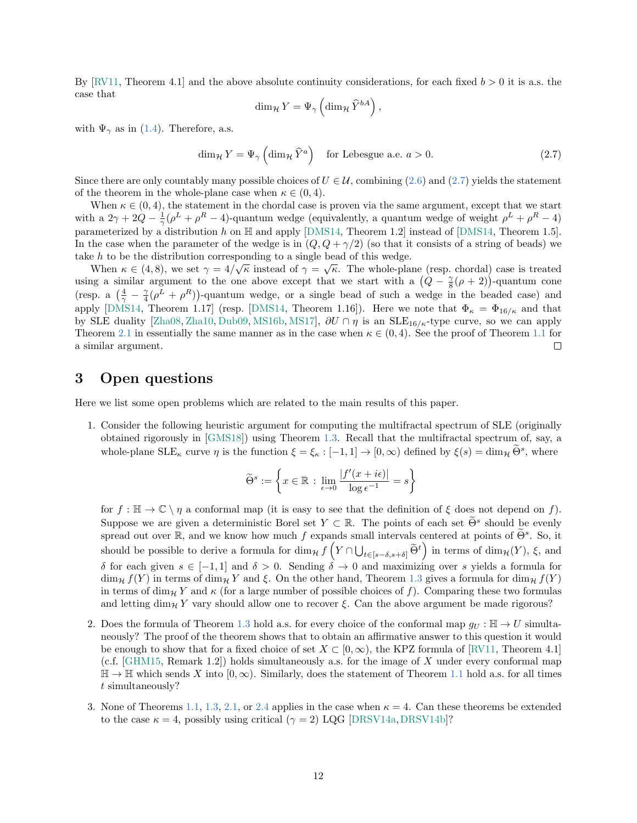By [\[RV11,](#page-14-9) Theorem 4.1] and the above absolute continuity considerations, for each fixed  $b > 0$  it is a.s. the case that

<span id="page-11-3"></span>
$$
\dim_{\mathcal{H}} Y = \Psi_{\gamma} \left( \dim_{\mathcal{H}} \widehat{Y}^{bA} \right),
$$

with  $\Psi_{\gamma}$  as in [\(1.4\)](#page-2-2). Therefore, a.s.

$$
\dim_{\mathcal{H}} Y = \Psi_{\gamma} \left( \dim_{\mathcal{H}} \hat{Y}^{a} \right) \quad \text{for Lebesgue a.e. } a > 0. \tag{2.7}
$$

Since there are only countably many possible choices of  $U \in \mathcal{U}$ , combining [\(2.6\)](#page-10-0) and [\(2.7\)](#page-11-3) yields the statement of the theorem in the whole-plane case when  $\kappa \in (0, 4)$ .

When  $\kappa \in (0, 4)$ , the statement in the chordal case is proven via the same argument, except that we start with a  $2\gamma + 2Q - \frac{1}{\gamma}(\rho^L + \rho^R - 4)$ -quantum wedge (equivalently, a quantum wedge of weight  $\rho^L + \rho^R - 4$ ) parameterized by a distribution h on  $\mathbb H$  and apply [\[DMS14,](#page-12-13) Theorem 1.2] instead of [DMS14, Theorem 1.5]. In the case when the parameter of the wedge is in  $(Q, Q + \gamma/2)$  (so that it consists of a string of beads) we take h to be the distribution corresponding to a single bead of this wedge.

When  $\kappa \in (4,8)$ , we set  $\gamma = 4/\sqrt{\kappa}$  instead of  $\gamma = \sqrt{\kappa}$ . The whole-plane (resp. chordal) case is treated using a similar argument to the one above except that we start with a  $(Q - \frac{\gamma}{8}(\rho + 2))$ -quantum cone (resp. a  $(\frac{4}{\gamma} - \frac{\gamma}{4}(\rho^L + \rho^R))$ -quantum wedge, or a single bead of such a wedge in the beaded case) and apply [\[DMS14,](#page-12-13) Theorem 1.17] (resp. [DMS14, Theorem 1.16]). Here we note that  $\Phi_{\kappa} = \Phi_{16/\kappa}$  and that by SLE duality [\[Zha08,](#page-14-15) [Zha10,](#page-14-16) [Dub09,](#page-12-17) [MS16b,](#page-13-14) [MS17\]](#page-14-11),  $\partial U \cap \eta$  is an SLE<sub>16/ $\kappa$ </sub>-type curve, so we can apply Theorem [2.1](#page-5-0) in essentially the same manner as in the case when  $\kappa \in (0, 4)$ . See the proof of Theorem [1.1](#page-2-0) for a similar argument.  $\Box$ 

# <span id="page-11-1"></span>3 Open questions

Here we list some open problems which are related to the main results of this paper.

<span id="page-11-0"></span>1. Consider the following heuristic argument for computing the multifractal spectrum of SLE (originally obtained rigorously in [\[GMS18\]](#page-13-5)) using Theorem [1.3.](#page-2-1) Recall that the multifractal spectrum of, say, a whole-plane  $\text{SLE}_{\kappa}$  curve  $\eta$  is the function  $\xi = \xi_{\kappa} : [-1, 1] \to [0, \infty)$  defined by  $\xi(s) = \dim_{\mathcal{H}} \tilde{\Theta}^s$ , where

$$
\widetilde{\Theta}^s := \left\{ x \in \mathbb{R} \, : \, \lim_{\epsilon \to 0} \frac{|f'(x + i\epsilon)|}{\log \epsilon^{-1}} = s \right\}
$$

for  $f : \mathbb{H} \to \mathbb{C} \setminus \eta$  a conformal map (it is easy to see that the definition of  $\xi$  does not depend on f). Suppose we are given a deterministic Borel set  $Y \subset \mathbb{R}$ . The points of each set  $\widetilde{\Theta}^s$  should be evenly spread out over  $\mathbb{R}$ , and we know how much f expands small intervals centered at points of  $\widetilde{\Theta}^s$ . So, it should be possible to derive a formula for  $\dim_{\mathcal{H}} f\left(Y \cap \bigcup_{t \in [s-\delta,s+\delta]} \widetilde{\Theta}^t\right)$  in terms of  $\dim_{\mathcal{H}}(Y)$ ,  $\xi$ , and δ for each given  $s \in [-1, 1]$  and  $δ > 0$ . Sending  $δ → 0$  and maximizing over s yields a formula for  $\dim_{\mathcal{H}} f(Y)$  in terms of  $\dim_{\mathcal{H}} Y$  and  $\xi$ . On the other hand, Theorem [1.3](#page-2-1) gives a formula for  $\dim_{\mathcal{H}} f(Y)$ in terms of dim<sub>H</sub> Y and  $\kappa$  (for a large number of possible choices of f). Comparing these two formulas and letting  $\dim_{\mathcal{H}} Y$  vary should allow one to recover  $\xi$ . Can the above argument be made rigorous?

- <span id="page-11-2"></span>2. Does the formula of Theorem [1.3](#page-2-1) hold a.s. for every choice of the conformal map  $q_U : \mathbb{H} \to U$  simultaneously? The proof of the theorem shows that to obtain an affirmative answer to this question it would be enough to show that for a fixed choice of set  $X \subset [0,\infty)$ , the KPZ formula of [\[RV11,](#page-14-9) Theorem 4.1]  $(c.f. [GHM15, Remark 1.2])$  $(c.f. [GHM15, Remark 1.2])$  $(c.f. [GHM15, Remark 1.2])$  holds simultaneously a.s. for the image of X under every conformal map  $\mathbb{H} \to \mathbb{H}$  which sends X into  $[0, \infty)$ . Similarly, does the statement of Theorem [1.1](#page-2-0) hold a.s. for all times t simultaneously?
- 3. None of Theorems [1.1,](#page-2-0) [1.3,](#page-2-1) [2.1,](#page-5-0) or [2.4](#page-8-0) applies in the case when  $\kappa = 4$ . Can these theorems be extended to the case  $\kappa = 4$ , possibly using critical ( $\gamma = 2$ ) LQG [\[DRSV14a,](#page-12-18) [DRSV14b\]](#page-12-14)?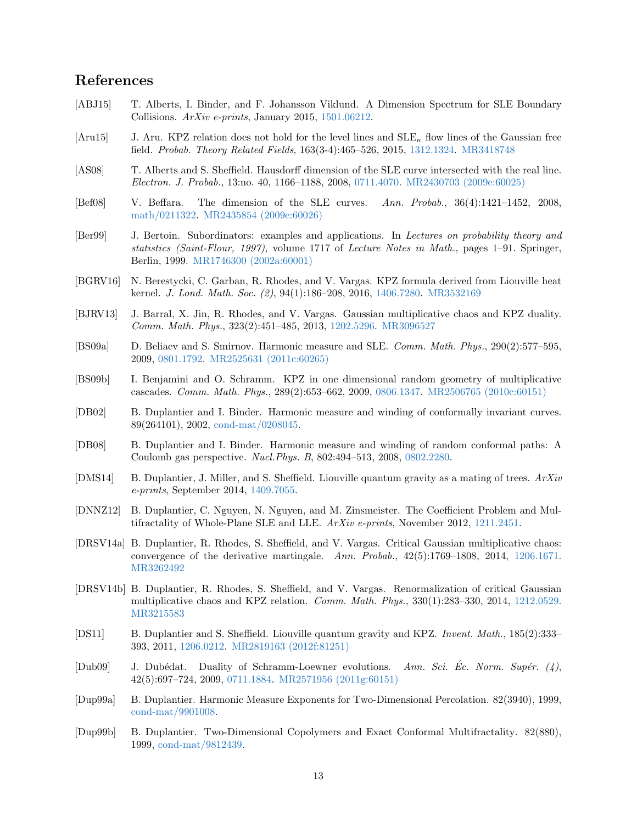# References

- <span id="page-12-7"></span>[ABJ15] T. Alberts, I. Binder, and F. Johansson Viklund. A Dimension Spectrum for SLE Boundary Collisions. ArXiv e-prints, January 2015, [1501.06212.](http://arxiv.org/abs/1501.06212)
- <span id="page-12-9"></span>[Aru15] J. Aru. KPZ relation does not hold for the level lines and  $SLE_{\kappa}$  flow lines of the Gaussian free field. Probab. Theory Related Fields, 163(3-4):465–526, 2015, [1312.1324.](http://arxiv.org/abs/1312.1324) [MR3418748](http://www.ams.org/mathscinet-getitem?mr=3418748)
- <span id="page-12-15"></span>[AS08] T. Alberts and S. Sheffield. Hausdorff dimension of the SLE curve intersected with the real line. Electron. J. Probab., 13:no. 40, 1166–1188, 2008, [0711.4070.](http://arxiv.org/abs/0711.4070) [MR2430703 \(2009e:60025\)](http://www.ams.org/mathscinet-getitem?mr=2430703)
- <span id="page-12-0"></span>[Bef08] V. Beffara. The dimension of the SLE curves. Ann. Probab., 36(4):1421–1452, 2008, [math/0211322.](http://arxiv.org/abs/math/0211322) [MR2435854 \(2009e:60026\)](http://www.ams.org/mathscinet-getitem?mr=2435854)
- <span id="page-12-16"></span>[Ber99] J. Bertoin. Subordinators: examples and applications. In Lectures on probability theory and statistics (Saint-Flour, 1997), volume 1717 of Lecture Notes in Math., pages 1–91. Springer, Berlin, 1999. [MR1746300 \(2002a:60001\)](http://www.ams.org/mathscinet-getitem?mr=1746300)
- <span id="page-12-10"></span>[BGRV16] N. Berestycki, C. Garban, R. Rhodes, and V. Vargas. KPZ formula derived from Liouville heat kernel. J. Lond. Math. Soc. (2), 94(1):186–208, 2016, [1406.7280.](http://arxiv.org/abs/1406.7280) [MR3532169](http://www.ams.org/mathscinet-getitem?mr=3532169)
- <span id="page-12-11"></span>[BJRV13] J. Barral, X. Jin, R. Rhodes, and V. Vargas. Gaussian multiplicative chaos and KPZ duality. Comm. Math. Phys., 323(2):451–485, 2013, [1202.5296.](http://arxiv.org/abs/1202.5296) [MR3096527](http://www.ams.org/mathscinet-getitem?mr=3096527)
- <span id="page-12-5"></span>[BS09a] D. Beliaev and S. Smirnov. Harmonic measure and SLE. Comm. Math. Phys., 290(2):577–595, 2009, [0801.1792.](http://arxiv.org/abs/0801.1792) [MR2525631 \(2011c:60265\)](http://www.ams.org/mathscinet-getitem?mr=2525631)
- <span id="page-12-12"></span>[BS09b] I. Benjamini and O. Schramm. KPZ in one dimensional random geometry of multiplicative cascades. Comm. Math. Phys., 289(2):653–662, 2009, [0806.1347.](http://arxiv.org/abs/0806.1347) [MR2506765 \(2010c:60151\)](http://www.ams.org/mathscinet-getitem?mr=2506765)
- <span id="page-12-3"></span>[DB02] B. Duplantier and I. Binder. Harmonic measure and winding of conformally invariant curves. 89(264101), 2002, [cond-mat/0208045.](http://arxiv.org/abs/cond-mat/0208045)
- <span id="page-12-4"></span>[DB08] B. Duplantier and I. Binder. Harmonic measure and winding of random conformal paths: A Coulomb gas perspective. Nucl.Phys. B, 802:494–513, 2008, [0802.2280.](http://arxiv.org/abs/0802.2280)
- <span id="page-12-13"></span>[DMS14] B. Duplantier, J. Miller, and S. Sheffield. Liouville quantum gravity as a mating of trees.  $ArXiv$ e-prints, September 2014, [1409.7055.](http://arxiv.org/abs/1409.7055)
- <span id="page-12-6"></span>[DNNZ12] B. Duplantier, C. Nguyen, N. Nguyen, and M. Zinsmeister. The Coefficient Problem and Mul-tifractality of Whole-Plane SLE and LLE. ArXiv e-prints, November 2012, [1211.2451.](http://arxiv.org/abs/1211.2451)
- <span id="page-12-18"></span>[DRSV14a] B. Duplantier, R. Rhodes, S. Sheffield, and V. Vargas. Critical Gaussian multiplicative chaos: convergence of the derivative martingale. Ann. Probab.,  $42(5)$ :1769–1808, 2014, [1206.1671.](http://arxiv.org/abs/1206.1671) [MR3262492](http://www.ams.org/mathscinet-getitem?mr=3262492)
- <span id="page-12-14"></span>[DRSV14b] B. Duplantier, R. Rhodes, S. Sheffield, and V. Vargas. Renormalization of critical Gaussian multiplicative chaos and KPZ relation. Comm. Math. Phys., 330(1):283–330, 2014, [1212.0529.](http://arxiv.org/abs/1212.0529) [MR3215583](http://www.ams.org/mathscinet-getitem?mr=3215583)
- <span id="page-12-8"></span>[DS11] B. Duplantier and S. Sheffield. Liouville quantum gravity and KPZ. Invent. Math., 185(2):333– 393, 2011, [1206.0212.](http://arxiv.org/abs/1206.0212) [MR2819163 \(2012f:81251\)](http://www.ams.org/mathscinet-getitem?mr=2819163)
- <span id="page-12-17"></span>[Dub09] J. Dubédat. Duality of Schramm-Loewner evolutions. Ann. Sci. Ec. Norm. Supér.  $(4)$ , 42(5):697–724, 2009, [0711.1884.](http://arxiv.org/abs/0711.1884) [MR2571956 \(2011g:60151\)](http://www.ams.org/mathscinet-getitem?mr=2571956)
- <span id="page-12-1"></span>[Dup99a] B. Duplantier. Harmonic Measure Exponents for Two-Dimensional Percolation. 82(3940), 1999, [cond-mat/9901008.](http://arxiv.org/abs/cond-mat/9901008)
- <span id="page-12-2"></span>[Dup99b] B. Duplantier. Two-Dimensional Copolymers and Exact Conformal Multifractality. 82(880), 1999, [cond-mat/9812439.](http://arxiv.org/abs/cond-mat/9812439)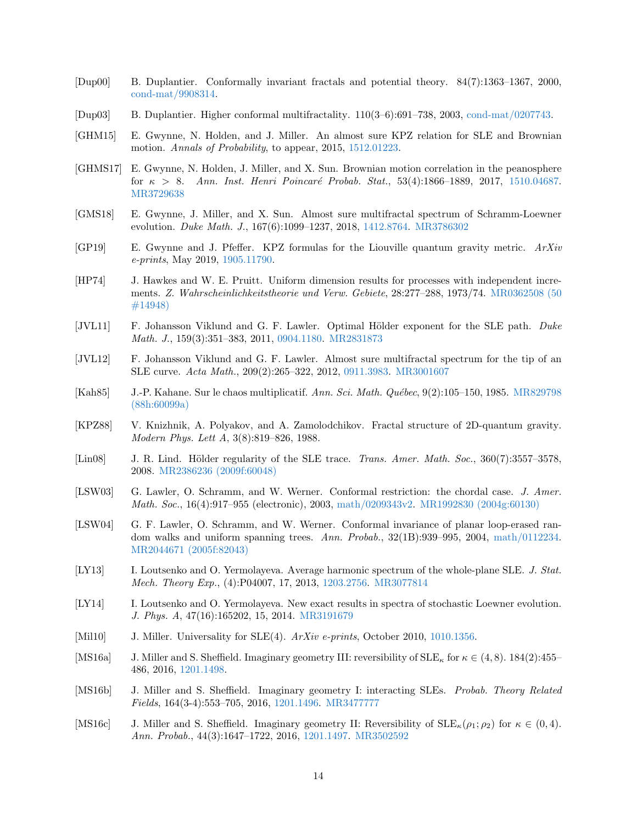- <span id="page-13-4"></span>[Dup00] B. Duplantier. Conformally invariant fractals and potential theory. 84(7):1363–1367, 2000, [cond-mat/9908314.](http://arxiv.org/abs/cond-mat/9908314)
- <span id="page-13-6"></span>[Dup03] B. Duplantier. Higher conformal multifractality. 110(3–6):691–738, 2003, [cond-mat/0207743.](http://arxiv.org/abs/cond-mat/0207743)
- <span id="page-13-12"></span>[GHM15] E. Gwynne, N. Holden, and J. Miller. An almost sure KPZ relation for SLE and Brownian motion. Annals of Probability, to appear, 2015, [1512.01223.](http://arxiv.org/abs/1512.01223)
- <span id="page-13-16"></span>[GHMS17] E. Gwynne, N. Holden, J. Miller, and X. Sun. Brownian motion correlation in the peanosphere for  $\kappa > 8$ . Ann. Inst. Henri Poincaré Probab. Stat., 53(4):1866–1889, 2017, [1510.04687.](http://arxiv.org/abs/1510.04687) [MR3729638](http://www.ams.org/mathscinet-getitem?mr=3729638)
- <span id="page-13-5"></span>[GMS18] E. Gwynne, J. Miller, and X. Sun. Almost sure multifractal spectrum of Schramm-Loewner evolution. Duke Math. J., 167(6):1099–1237, 2018, [1412.8764.](http://arxiv.org/abs/1412.8764) [MR3786302](http://www.ams.org/mathscinet-getitem?mr=3786302)
- <span id="page-13-13"></span> $[GP19]$  E. Gwynne and J. Pfeffer. KPZ formulas for the Liouville quantum gravity metric.  $ArXiv$ e-prints, May 2019, [1905.11790.](http://arxiv.org/abs/1905.11790)
- <span id="page-13-17"></span>[HP74] J. Hawkes and W. E. Pruitt. Uniform dimension results for processes with independent increments. Z. Wahrscheinlichkeitstheorie und Verw. Gebiete, 28:277–288, 1973/74. [MR0362508 \(50](http://www.ams.org/mathscinet-getitem?mr=0362508) [#14948\)](http://www.ams.org/mathscinet-getitem?mr=0362508)
- <span id="page-13-2"></span>[JVL11] F. Johansson Viklund and G. F. Lawler. Optimal Hölder exponent for the SLE path. Duke Math. J., 159(3):351–383, 2011, [0904.1180.](http://arxiv.org/abs/0904.1180) [MR2831873](http://www.ams.org/mathscinet-getitem?mr=2831873)
- <span id="page-13-9"></span>[JVL12] F. Johansson Viklund and G. F. Lawler. Almost sure multifractal spectrum for the tip of an SLE curve. Acta Math., 209(2):265–322, 2012, [0911.3983.](http://arxiv.org/abs/0911.3983) [MR3001607](http://www.ams.org/mathscinet-getitem?mr=3001607)
- <span id="page-13-10"></span>[Kah85] J.-P. Kahane. Sur le chaos multiplicatif. Ann. Sci. Math. Québec, 9(2):105–150, 1985. [MR829798](http://www.ams.org/mathscinet-getitem?mr=829798) [\(88h:60099a\)](http://www.ams.org/mathscinet-getitem?mr=829798)
- <span id="page-13-11"></span>[KPZ88] V. Knizhnik, A. Polyakov, and A. Zamolodchikov. Fractal structure of 2D-quantum gravity. Modern Phys. Lett A, 3(8):819–826, 1988.
- <span id="page-13-3"></span>[Lin08] J. R. Lind. Hölder regularity of the SLE trace. Trans. Amer. Math. Soc., 360(7):3557–3578, 2008. [MR2386236 \(2009f:60048\)](http://www.ams.org/mathscinet-getitem?mr=2386236)
- <span id="page-13-15"></span>[LSW03] G. Lawler, O. Schramm, and W. Werner. Conformal restriction: the chordal case. J. Amer. Math. Soc., 16(4):917–955 (electronic), 2003, [math/0209343v2.](http://arxiv.org/abs/math/0209343v2) [MR1992830 \(2004g:60130\)](http://www.ams.org/mathscinet-getitem?mr=1992830)
- <span id="page-13-0"></span>[LSW04] G. F. Lawler, O. Schramm, and W. Werner. Conformal invariance of planar loop-erased random walks and uniform spanning trees. Ann. Probab., 32(1B):939–995, 2004, [math/0112234.](http://arxiv.org/abs/math/0112234) [MR2044671 \(2005f:82043\)](http://www.ams.org/mathscinet-getitem?mr=2044671)
- <span id="page-13-7"></span>[LY13] I. Loutsenko and O. Yermolayeva. Average harmonic spectrum of the whole-plane SLE. J. Stat. Mech. Theory Exp., (4):P04007, 17, 2013, [1203.2756.](http://arxiv.org/abs/1203.2756) [MR3077814](http://www.ams.org/mathscinet-getitem?mr=3077814)
- <span id="page-13-8"></span>[LY14] I. Loutsenko and O. Yermolayeva. New exact results in spectra of stochastic Loewner evolution. J. Phys. A, 47(16):165202, 15, 2014. [MR3191679](http://www.ams.org/mathscinet-getitem?mr=3191679)
- <span id="page-13-1"></span>[Mil10] J. Miller. Universality for SLE(4). ArXiv e-prints, October 2010, [1010.1356.](http://arxiv.org/abs/1010.1356)
- <span id="page-13-19"></span>[MS16a] J. Miller and S. Sheffield. Imaginary geometry III: reversibility of  $SLE_{\kappa}$  for  $\kappa \in (4, 8)$ . 184(2):455– 486, 2016, [1201.1498.](http://arxiv.org/abs/1201.1498)
- <span id="page-13-14"></span>[MS16b] J. Miller and S. Sheffield. Imaginary geometry I: interacting SLEs. Probab. Theory Related Fields, 164(3-4):553–705, 2016, [1201.1496.](http://arxiv.org/abs/1201.1496) [MR3477777](http://www.ams.org/mathscinet-getitem?mr=3477777)
- <span id="page-13-18"></span>[MS16c] J. Miller and S. Sheffield. Imaginary geometry II: Reversibility of  $\text{SLE}_\kappa(\rho_1; \rho_2)$  for  $\kappa \in (0, 4)$ . Ann. Probab., 44(3):1647–1722, 2016, [1201.1497.](http://arxiv.org/abs/1201.1497) [MR3502592](http://www.ams.org/mathscinet-getitem?mr=3502592)